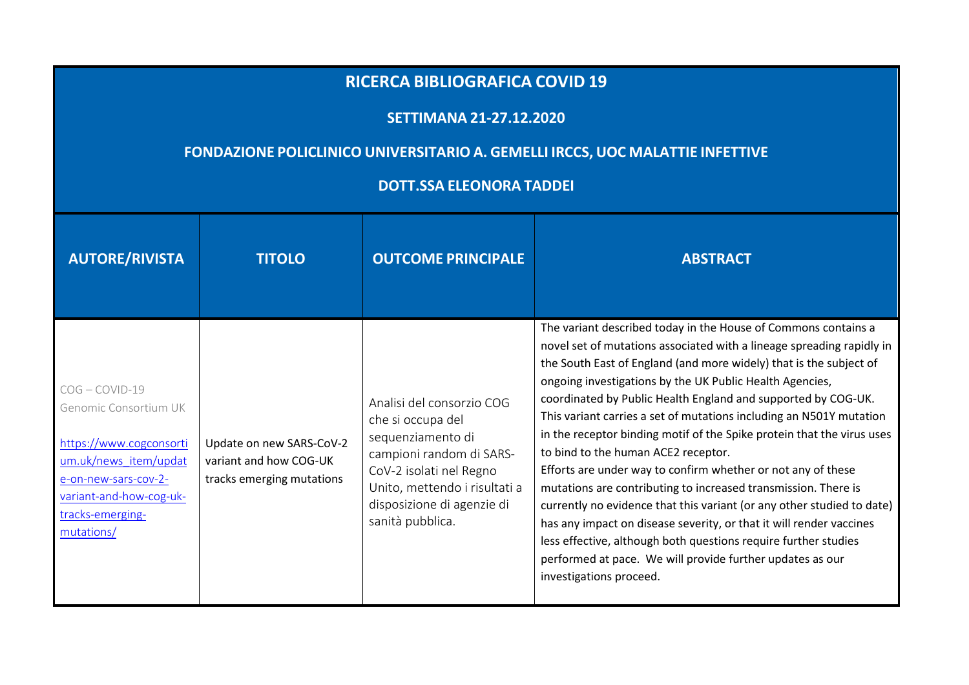## **RICERCA BIBLIOGRAFICA COVID <sup>19</sup>**

## **SETTIMANA 21-27.12.2020**

## **FONDAZIONE POLICLINICO UNIVERSITARIO A. GEMELLI IRCCS, UOC MALATTIE INFETTIVE**

## **DOTT.SSA ELEONORA TADDEI**

| <b>AUTORE/RIVISTA</b>                                                                                                                                                              | <b>TITOLO</b>                                                                   | <b>OUTCOME PRINCIPALE</b>                                                                                                                                                                                     | <b>ABSTRACT</b>                                                                                                                                                                                                                                                                                                                                                                                                                                                                                                                                                                                                                                                                                                                                                                                                                                                                                                                                                                  |
|------------------------------------------------------------------------------------------------------------------------------------------------------------------------------------|---------------------------------------------------------------------------------|---------------------------------------------------------------------------------------------------------------------------------------------------------------------------------------------------------------|----------------------------------------------------------------------------------------------------------------------------------------------------------------------------------------------------------------------------------------------------------------------------------------------------------------------------------------------------------------------------------------------------------------------------------------------------------------------------------------------------------------------------------------------------------------------------------------------------------------------------------------------------------------------------------------------------------------------------------------------------------------------------------------------------------------------------------------------------------------------------------------------------------------------------------------------------------------------------------|
| $COG - COVID-19$<br>Genomic Consortium UK<br>https://www.cogconsorti<br>um.uk/news item/updat<br>e-on-new-sars-cov-2-<br>variant-and-how-cog-uk-<br>tracks-emerging-<br>mutations/ | Update on new SARS-CoV-2<br>variant and how COG-UK<br>tracks emerging mutations | Analisi del consorzio COG<br>che si occupa del<br>sequenziamento di<br>campioni random di SARS-<br>CoV-2 isolati nel Regno<br>Unito, mettendo i risultati a<br>disposizione di agenzie di<br>sanità pubblica. | The variant described today in the House of Commons contains a<br>novel set of mutations associated with a lineage spreading rapidly in<br>the South East of England (and more widely) that is the subject of<br>ongoing investigations by the UK Public Health Agencies,<br>coordinated by Public Health England and supported by COG-UK.<br>This variant carries a set of mutations including an N501Y mutation<br>in the receptor binding motif of the Spike protein that the virus uses<br>to bind to the human ACE2 receptor.<br>Efforts are under way to confirm whether or not any of these<br>mutations are contributing to increased transmission. There is<br>currently no evidence that this variant (or any other studied to date)<br>has any impact on disease severity, or that it will render vaccines<br>less effective, although both questions require further studies<br>performed at pace. We will provide further updates as our<br>investigations proceed. |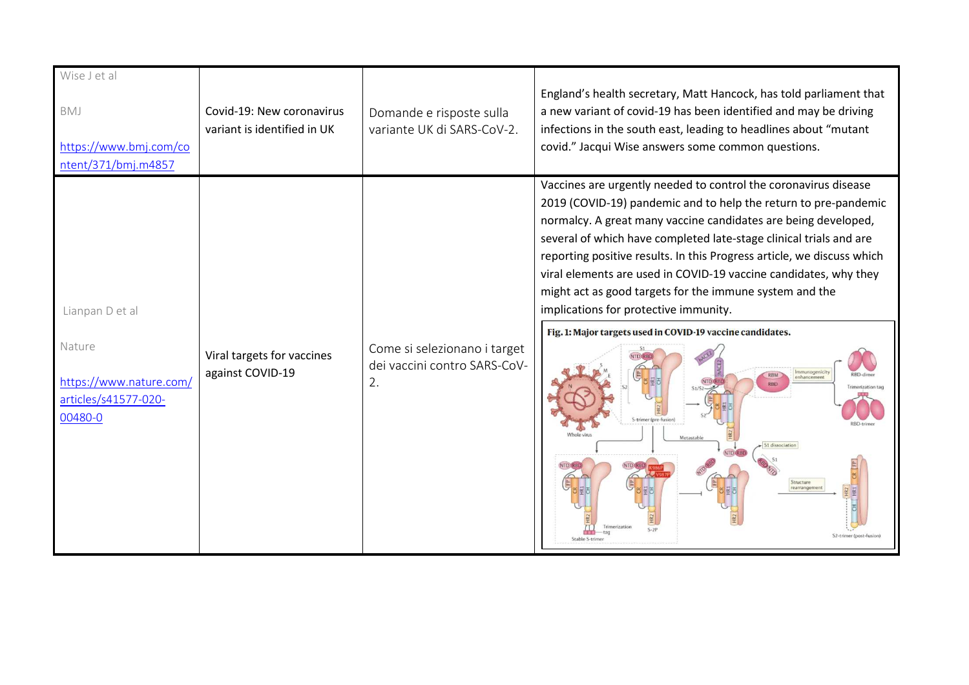| Wise J et al<br>BMJ<br>https://www.bmj.com/co<br>ntent/371/bmj.m4857                    | Covid-19: New coronavirus<br>variant is identified in UK | Domande e risposte sulla<br>variante UK di SARS-CoV-2.             | England's health secretary, Matt Hancock, has told parliament that<br>a new variant of covid-19 has been identified and may be driving<br>infections in the south east, leading to headlines about "mutant<br>covid." Jacqui Wise answers some common questions.                                                                                                                                                                                                                                                                                                                                                                                                                                                                                            |
|-----------------------------------------------------------------------------------------|----------------------------------------------------------|--------------------------------------------------------------------|-------------------------------------------------------------------------------------------------------------------------------------------------------------------------------------------------------------------------------------------------------------------------------------------------------------------------------------------------------------------------------------------------------------------------------------------------------------------------------------------------------------------------------------------------------------------------------------------------------------------------------------------------------------------------------------------------------------------------------------------------------------|
| Lianpan D et al<br>Nature<br>https://www.nature.com/<br>articles/s41577-020-<br>00480-0 | Viral targets for vaccines<br>against COVID-19           | Come si selezionano i target<br>dei vaccini contro SARS-CoV-<br>2. | Vaccines are urgently needed to control the coronavirus disease<br>2019 (COVID-19) pandemic and to help the return to pre-pandemic<br>normalcy. A great many vaccine candidates are being developed,<br>several of which have completed late-stage clinical trials and are<br>reporting positive results. In this Progress article, we discuss which<br>viral elements are used in COVID-19 vaccine candidates, why they<br>might act as good targets for the immune system and the<br>implications for protective immunity.<br>Fig. 1: Major targets used in COVID-19 vaccine candidates.<br>mmunogenicit<br>enhancement<br><b>RBD</b><br>terization t<br>S-trimer (pre-fusion<br>S1 dissociation<br>Structure<br>S2-trimer (post-fusion<br>Stable S-trime |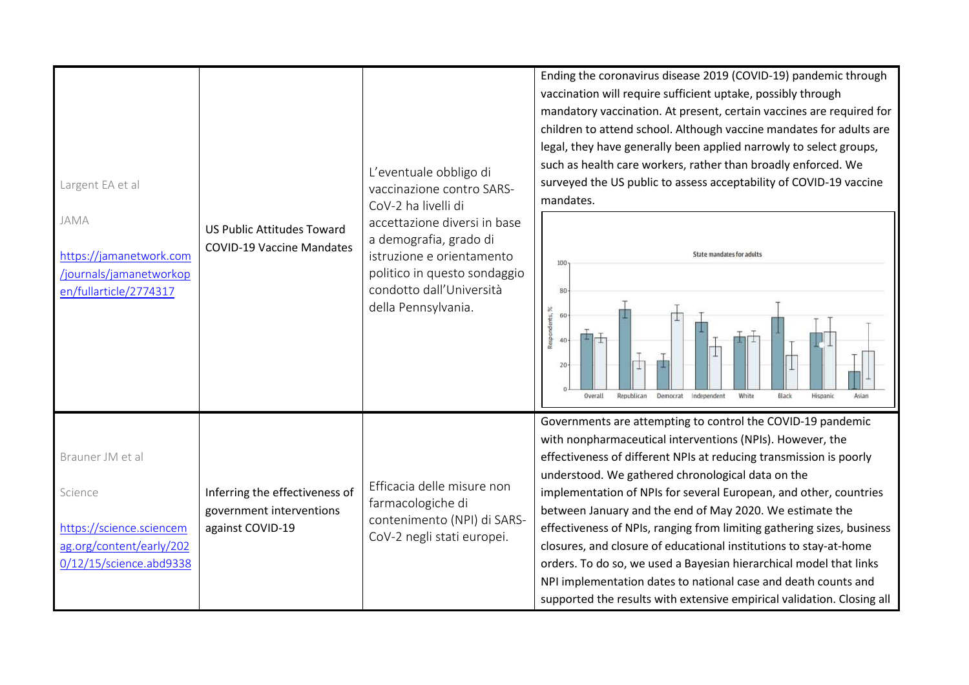| Largent EA et al<br>JAMA<br>https://jamanetwork.com<br>/journals/jamanetworkop<br>en/fullarticle/2774317       | <b>US Public Attitudes Toward</b><br><b>COVID-19 Vaccine Mandates</b>          | L'eventuale obbligo di<br>vaccinazione contro SARS-<br>CoV-2 ha livelli di<br>accettazione diversi in base<br>a demografia, grado di<br>istruzione e orientamento<br>politico in questo sondaggio<br>condotto dall'Università<br>della Pennsylvania. | Ending the coronavirus disease 2019 (COVID-19) pandemic through<br>vaccination will require sufficient uptake, possibly through<br>mandatory vaccination. At present, certain vaccines are required for<br>children to attend school. Although vaccine mandates for adults are<br>legal, they have generally been applied narrowly to select groups,<br>such as health care workers, rather than broadly enforced. We<br>surveyed the US public to assess acceptability of COVID-19 vaccine<br>mandates.<br><b>State mandates for adults</b><br>100<br>80<br>Respondents, %<br>60<br>40<br>20<br>White<br>Overall<br>Republican<br>Democrat<br>Independent<br>Black<br>Hispanic<br>Asian                                                              |
|----------------------------------------------------------------------------------------------------------------|--------------------------------------------------------------------------------|------------------------------------------------------------------------------------------------------------------------------------------------------------------------------------------------------------------------------------------------------|-------------------------------------------------------------------------------------------------------------------------------------------------------------------------------------------------------------------------------------------------------------------------------------------------------------------------------------------------------------------------------------------------------------------------------------------------------------------------------------------------------------------------------------------------------------------------------------------------------------------------------------------------------------------------------------------------------------------------------------------------------|
| Brauner JM et al<br>Science<br>https://science.sciencem<br>ag.org/content/early/202<br>0/12/15/science.abd9338 | Inferring the effectiveness of<br>government interventions<br>against COVID-19 | Efficacia delle misure non<br>farmacologiche di<br>contenimento (NPI) di SARS-<br>CoV-2 negli stati europei.                                                                                                                                         | Governments are attempting to control the COVID-19 pandemic<br>with nonpharmaceutical interventions (NPIs). However, the<br>effectiveness of different NPIs at reducing transmission is poorly<br>understood. We gathered chronological data on the<br>implementation of NPIs for several European, and other, countries<br>between January and the end of May 2020. We estimate the<br>effectiveness of NPIs, ranging from limiting gathering sizes, business<br>closures, and closure of educational institutions to stay-at-home<br>orders. To do so, we used a Bayesian hierarchical model that links<br>NPI implementation dates to national case and death counts and<br>supported the results with extensive empirical validation. Closing all |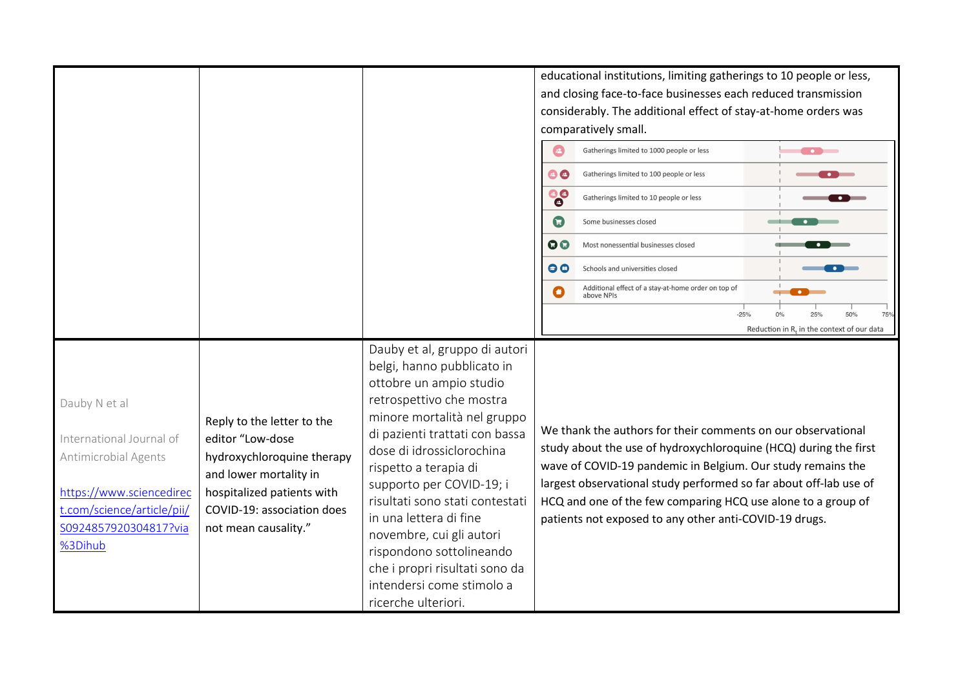|                                                                                                                                                                 |                                                                                                                                                                                            |                                                                                                                                                                                                                                                                                                                                                                                                                                                                                  | educational institutions, limiting gatherings to 10 people or less,<br>and closing face-to-face businesses each reduced transmission<br>considerably. The additional effect of stay-at-home orders was<br>comparatively small.<br>$\boldsymbol{\Theta}$<br>Gatherings limited to 1000 people or less<br>$\bullet$ $\bullet$<br>$\bullet$<br>Gatherings limited to 100 people or less<br>$\bullet$ $\bullet$<br><b>88</b><br>Gatherings limited to 10 people or less<br>$\mathbf G$<br>Some businesses closed<br>QQ<br>Most nonessential businesses closed<br>00<br>Schools and universities closed<br>$\bullet$ $\blacksquare$<br>Additional effect of a stay-at-home order on top of<br>$\bullet$<br>above NPIs<br>$-25%$<br>25%<br>50%<br>75%<br>Reduction in $R_t$ in the context of our data |
|-----------------------------------------------------------------------------------------------------------------------------------------------------------------|--------------------------------------------------------------------------------------------------------------------------------------------------------------------------------------------|----------------------------------------------------------------------------------------------------------------------------------------------------------------------------------------------------------------------------------------------------------------------------------------------------------------------------------------------------------------------------------------------------------------------------------------------------------------------------------|--------------------------------------------------------------------------------------------------------------------------------------------------------------------------------------------------------------------------------------------------------------------------------------------------------------------------------------------------------------------------------------------------------------------------------------------------------------------------------------------------------------------------------------------------------------------------------------------------------------------------------------------------------------------------------------------------------------------------------------------------------------------------------------------------|
| Dauby N et al<br>International Journal of<br>Antimicrobial Agents<br>https://www.sciencedirec<br>t.com/science/article/pii/<br>S0924857920304817?via<br>%3Dihub | Reply to the letter to the<br>editor "Low-dose<br>hydroxychloroquine therapy<br>and lower mortality in<br>hospitalized patients with<br>COVID-19: association does<br>not mean causality." | Dauby et al, gruppo di autori<br>belgi, hanno pubblicato in<br>ottobre un ampio studio<br>retrospettivo che mostra<br>minore mortalità nel gruppo<br>di pazienti trattati con bassa<br>dose di idrossiclorochina<br>rispetto a terapia di<br>supporto per COVID-19; i<br>risultati sono stati contestati<br>in una lettera di fine<br>novembre, cui gli autori<br>rispondono sottolineando<br>che i propri risultati sono da<br>intendersi come stimolo a<br>ricerche ulteriori. | We thank the authors for their comments on our observational<br>study about the use of hydroxychloroquine (HCQ) during the first<br>wave of COVID-19 pandemic in Belgium. Our study remains the<br>largest observational study performed so far about off-lab use of<br>HCQ and one of the few comparing HCQ use alone to a group of<br>patients not exposed to any other anti-COVID-19 drugs.                                                                                                                                                                                                                                                                                                                                                                                                   |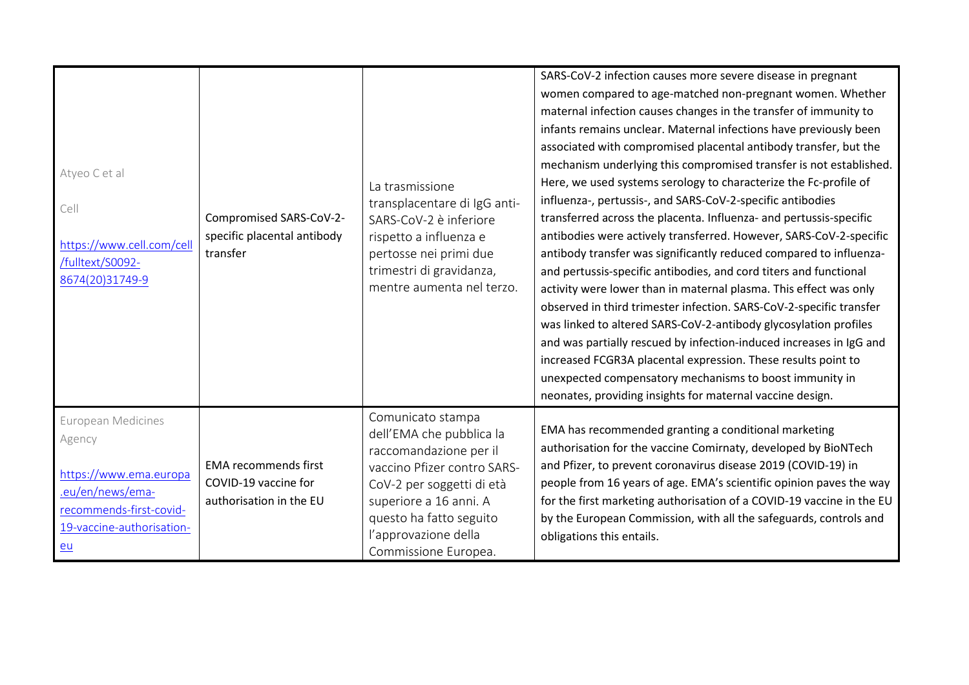| Atyeo C et al<br>Cell<br>https://www.cell.com/cell<br>/fulltext/S0092-<br>8674(20)31749-9                                                         | Compromised SARS-CoV-2-<br>specific placental antibody<br>transfer             | La trasmissione<br>transplacentare di IgG anti-<br>SARS-CoV-2 è inferiore<br>rispetto a influenza e<br>pertosse nei primi due<br>trimestri di gravidanza,<br>mentre aumenta nel terzo.                                                   | SARS-CoV-2 infection causes more severe disease in pregnant<br>women compared to age-matched non-pregnant women. Whether<br>maternal infection causes changes in the transfer of immunity to<br>infants remains unclear. Maternal infections have previously been<br>associated with compromised placental antibody transfer, but the<br>mechanism underlying this compromised transfer is not established.<br>Here, we used systems serology to characterize the Fc-profile of<br>influenza-, pertussis-, and SARS-CoV-2-specific antibodies<br>transferred across the placenta. Influenza- and pertussis-specific<br>antibodies were actively transferred. However, SARS-CoV-2-specific<br>antibody transfer was significantly reduced compared to influenza-<br>and pertussis-specific antibodies, and cord titers and functional<br>activity were lower than in maternal plasma. This effect was only<br>observed in third trimester infection. SARS-CoV-2-specific transfer<br>was linked to altered SARS-CoV-2-antibody glycosylation profiles<br>and was partially rescued by infection-induced increases in IgG and<br>increased FCGR3A placental expression. These results point to<br>unexpected compensatory mechanisms to boost immunity in<br>neonates, providing insights for maternal vaccine design. |
|---------------------------------------------------------------------------------------------------------------------------------------------------|--------------------------------------------------------------------------------|------------------------------------------------------------------------------------------------------------------------------------------------------------------------------------------------------------------------------------------|----------------------------------------------------------------------------------------------------------------------------------------------------------------------------------------------------------------------------------------------------------------------------------------------------------------------------------------------------------------------------------------------------------------------------------------------------------------------------------------------------------------------------------------------------------------------------------------------------------------------------------------------------------------------------------------------------------------------------------------------------------------------------------------------------------------------------------------------------------------------------------------------------------------------------------------------------------------------------------------------------------------------------------------------------------------------------------------------------------------------------------------------------------------------------------------------------------------------------------------------------------------------------------------------------------------------|
| <b>European Medicines</b><br>Agency<br>https://www.ema.europa<br>.eu/en/news/ema-<br>recommends-first-covid-<br>19-vaccine-authorisation-<br>$eu$ | <b>EMA</b> recommends first<br>COVID-19 vaccine for<br>authorisation in the EU | Comunicato stampa<br>dell'EMA che pubblica la<br>raccomandazione per il<br>vaccino Pfizer contro SARS-<br>CoV-2 per soggetti di età<br>superiore a 16 anni. A<br>questo ha fatto seguito<br>l'approvazione della<br>Commissione Europea. | EMA has recommended granting a conditional marketing<br>authorisation for the vaccine Comirnaty, developed by BioNTech<br>and Pfizer, to prevent coronavirus disease 2019 (COVID-19) in<br>people from 16 years of age. EMA's scientific opinion paves the way<br>for the first marketing authorisation of a COVID-19 vaccine in the EU<br>by the European Commission, with all the safeguards, controls and<br>obligations this entails.                                                                                                                                                                                                                                                                                                                                                                                                                                                                                                                                                                                                                                                                                                                                                                                                                                                                            |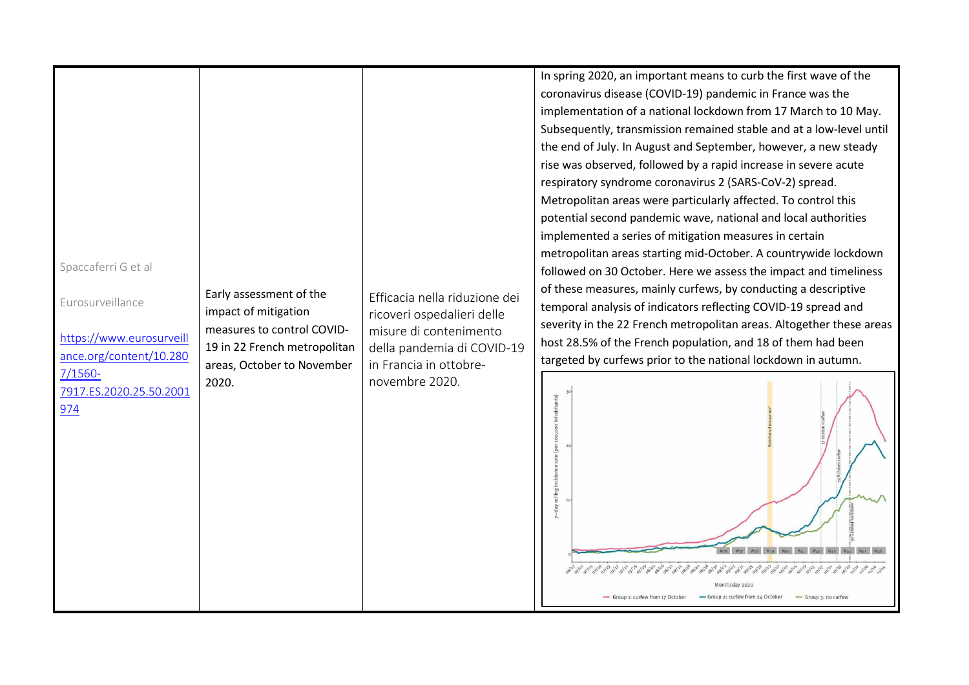| Spaccaferri G et al<br>Eurosurveillance<br>https://www.eurosurveill<br>ance.org/content/10.280<br>$7/1560-$<br>7917.ES.2020.25.50.2001<br>974 | Early assessment of the<br>impact of mitigation<br>measures to control COVID-<br>19 in 22 French metropolitan<br>areas, October to November<br>2020. | Efficacia nella riduzione dei<br>ricoveri ospedalieri delle<br>misure di contenimento<br>della pandemia di COVID-19<br>in Francia in ottobre-<br>novembre 2020. | In spring 2020, an important means to curb the first wave of the<br>coronavirus disease (COVID-19) pandemic in France was the<br>implementation of a national lockdown from 17 March to 10 May.<br>Subsequently, transmission remained stable and at a low-level until<br>the end of July. In August and September, however, a new steady<br>rise was observed, followed by a rapid increase in severe acute<br>respiratory syndrome coronavirus 2 (SARS-CoV-2) spread.<br>Metropolitan areas were particularly affected. To control this<br>potential second pandemic wave, national and local authorities<br>implemented a series of mitigation measures in certain<br>metropolitan areas starting mid-October. A countrywide lockdown<br>followed on 30 October. Here we assess the impact and timeliness<br>of these measures, mainly curfews, by conducting a descriptive<br>temporal analysis of indicators reflecting COVID-19 spread and<br>severity in the 22 French metropolitan areas. Altogether these areas<br>host 28.5% of the French population, and 18 of them had been<br>targeted by curfews prior to the national lockdown in autumn.<br>100,000 inhabitants)<br>(per<br>rolling incidence rate<br>-day<br>- Group 1: curfew from 17 October<br>- Group 2: curfew from 24 October<br>- Group 3: no curfew |
|-----------------------------------------------------------------------------------------------------------------------------------------------|------------------------------------------------------------------------------------------------------------------------------------------------------|-----------------------------------------------------------------------------------------------------------------------------------------------------------------|-------------------------------------------------------------------------------------------------------------------------------------------------------------------------------------------------------------------------------------------------------------------------------------------------------------------------------------------------------------------------------------------------------------------------------------------------------------------------------------------------------------------------------------------------------------------------------------------------------------------------------------------------------------------------------------------------------------------------------------------------------------------------------------------------------------------------------------------------------------------------------------------------------------------------------------------------------------------------------------------------------------------------------------------------------------------------------------------------------------------------------------------------------------------------------------------------------------------------------------------------------------------------------------------------------------------------------|
|-----------------------------------------------------------------------------------------------------------------------------------------------|------------------------------------------------------------------------------------------------------------------------------------------------------|-----------------------------------------------------------------------------------------------------------------------------------------------------------------|-------------------------------------------------------------------------------------------------------------------------------------------------------------------------------------------------------------------------------------------------------------------------------------------------------------------------------------------------------------------------------------------------------------------------------------------------------------------------------------------------------------------------------------------------------------------------------------------------------------------------------------------------------------------------------------------------------------------------------------------------------------------------------------------------------------------------------------------------------------------------------------------------------------------------------------------------------------------------------------------------------------------------------------------------------------------------------------------------------------------------------------------------------------------------------------------------------------------------------------------------------------------------------------------------------------------------------|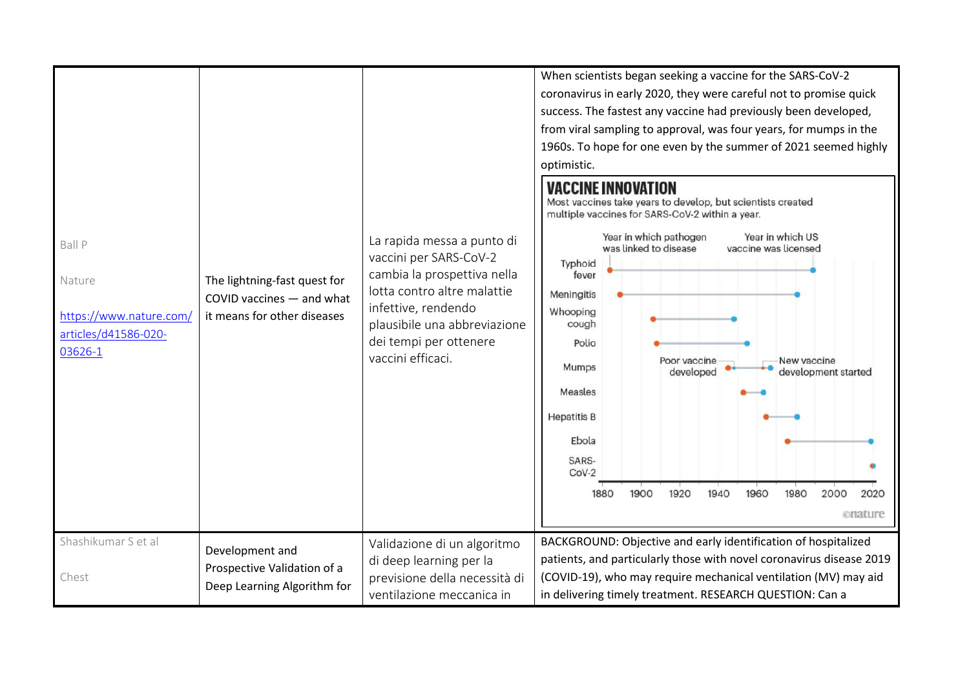| <b>Ball P</b><br>Nature<br>https://www.nature.com/<br>articles/d41586-020-<br>03626-1 | The lightning-fast quest for<br>COVID vaccines - and what<br>it means for other diseases | La rapida messa a punto di<br>vaccini per SARS-CoV-2<br>cambia la prospettiva nella<br>lotta contro altre malattie<br>infettive, rendendo<br>plausibile una abbreviazione<br>dei tempi per ottenere<br>vaccini efficaci. | When scientists began seeking a vaccine for the SARS-CoV-2<br>coronavirus in early 2020, they were careful not to promise quick<br>success. The fastest any vaccine had previously been developed,<br>from viral sampling to approval, was four years, for mumps in the<br>1960s. To hope for one even by the summer of 2021 seemed highly<br>optimistic.<br><b>VACCINE INNOVATION</b><br>Most vaccines take years to develop, but scientists created<br>multiple vaccines for SARS-CoV-2 within a year.<br>Year in which US<br>Year in which pathogen<br>was linked to disease<br>vaccine was licensed<br>Typhoid<br>fever<br>Meningitis<br>Whooping<br>cough<br>Polio<br>Poor vaccine<br>New vaccine<br>Mumps<br>developed<br>development started<br>Measles<br><b>Hepatitis B</b><br>Ebola<br>SARS-<br>$CoV-2$<br>1900<br>1920<br>1940<br>1960<br>1980<br>1880<br>2000<br>2020<br>onature |
|---------------------------------------------------------------------------------------|------------------------------------------------------------------------------------------|--------------------------------------------------------------------------------------------------------------------------------------------------------------------------------------------------------------------------|----------------------------------------------------------------------------------------------------------------------------------------------------------------------------------------------------------------------------------------------------------------------------------------------------------------------------------------------------------------------------------------------------------------------------------------------------------------------------------------------------------------------------------------------------------------------------------------------------------------------------------------------------------------------------------------------------------------------------------------------------------------------------------------------------------------------------------------------------------------------------------------------|
| Shashikumar S et al<br>Chest                                                          | Development and<br>Prospective Validation of a<br>Deep Learning Algorithm for            | Validazione di un algoritmo<br>di deep learning per la<br>previsione della necessità di<br>ventilazione meccanica in                                                                                                     | BACKGROUND: Objective and early identification of hospitalized<br>patients, and particularly those with novel coronavirus disease 2019<br>(COVID-19), who may require mechanical ventilation (MV) may aid<br>in delivering timely treatment. RESEARCH QUESTION: Can a                                                                                                                                                                                                                                                                                                                                                                                                                                                                                                                                                                                                                        |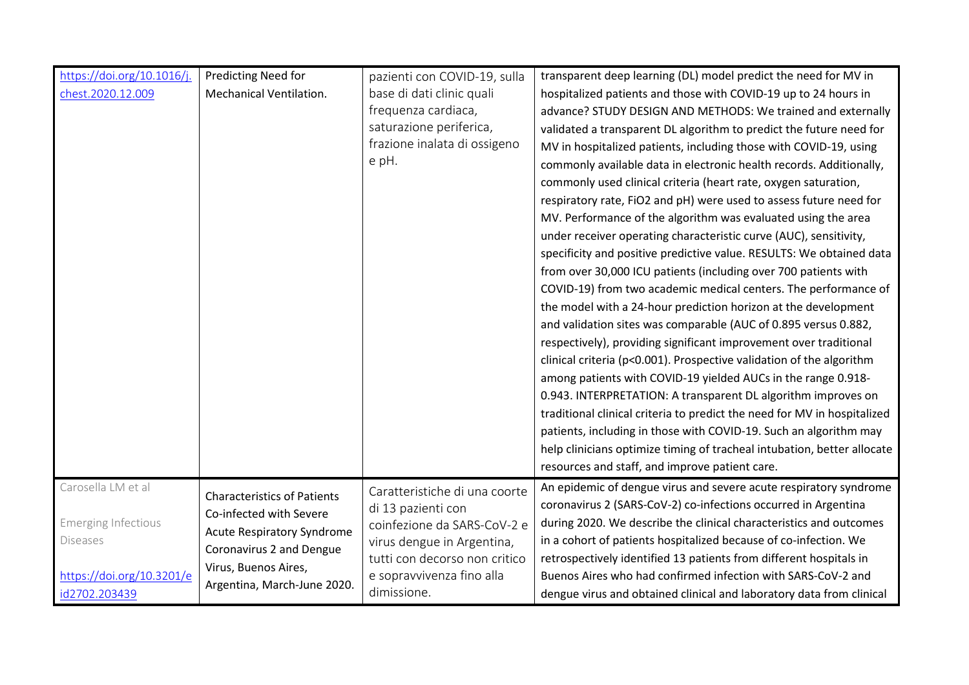| https://doi.org/10.1016/j.<br>chest.2020.12.009                                                                   | Predicting Need for<br>Mechanical Ventilation.                                                                                                                                        | pazienti con COVID-19, sulla<br>base di dati clinic quali<br>frequenza cardiaca,<br>saturazione periferica,<br>frazione inalata di ossigeno<br>e pH.                                          | transparent deep learning (DL) model predict the need for MV in<br>hospitalized patients and those with COVID-19 up to 24 hours in<br>advance? STUDY DESIGN AND METHODS: We trained and externally<br>validated a transparent DL algorithm to predict the future need for<br>MV in hospitalized patients, including those with COVID-19, using<br>commonly available data in electronic health records. Additionally,<br>commonly used clinical criteria (heart rate, oxygen saturation,<br>respiratory rate, FiO2 and pH) were used to assess future need for<br>MV. Performance of the algorithm was evaluated using the area<br>under receiver operating characteristic curve (AUC), sensitivity,<br>specificity and positive predictive value. RESULTS: We obtained data<br>from over 30,000 ICU patients (including over 700 patients with<br>COVID-19) from two academic medical centers. The performance of<br>the model with a 24-hour prediction horizon at the development<br>and validation sites was comparable (AUC of 0.895 versus 0.882,<br>respectively), providing significant improvement over traditional<br>clinical criteria (p<0.001). Prospective validation of the algorithm<br>among patients with COVID-19 yielded AUCs in the range 0.918-<br>0.943. INTERPRETATION: A transparent DL algorithm improves on<br>traditional clinical criteria to predict the need for MV in hospitalized<br>patients, including in those with COVID-19. Such an algorithm may<br>help clinicians optimize timing of tracheal intubation, better allocate |
|-------------------------------------------------------------------------------------------------------------------|---------------------------------------------------------------------------------------------------------------------------------------------------------------------------------------|-----------------------------------------------------------------------------------------------------------------------------------------------------------------------------------------------|--------------------------------------------------------------------------------------------------------------------------------------------------------------------------------------------------------------------------------------------------------------------------------------------------------------------------------------------------------------------------------------------------------------------------------------------------------------------------------------------------------------------------------------------------------------------------------------------------------------------------------------------------------------------------------------------------------------------------------------------------------------------------------------------------------------------------------------------------------------------------------------------------------------------------------------------------------------------------------------------------------------------------------------------------------------------------------------------------------------------------------------------------------------------------------------------------------------------------------------------------------------------------------------------------------------------------------------------------------------------------------------------------------------------------------------------------------------------------------------------------------------------------------------------------------------------|
|                                                                                                                   |                                                                                                                                                                                       |                                                                                                                                                                                               | resources and staff, and improve patient care.                                                                                                                                                                                                                                                                                                                                                                                                                                                                                                                                                                                                                                                                                                                                                                                                                                                                                                                                                                                                                                                                                                                                                                                                                                                                                                                                                                                                                                                                                                                     |
| Carosella LM et al<br><b>Emerging Infectious</b><br><b>Diseases</b><br>https://doi.org/10.3201/e<br>id2702.203439 | <b>Characteristics of Patients</b><br>Co-infected with Severe<br><b>Acute Respiratory Syndrome</b><br>Coronavirus 2 and Dengue<br>Virus, Buenos Aires,<br>Argentina, March-June 2020. | Caratteristiche di una coorte<br>di 13 pazienti con<br>coinfezione da SARS-CoV-2 e<br>virus dengue in Argentina,<br>tutti con decorso non critico<br>e sopravvivenza fino alla<br>dimissione. | An epidemic of dengue virus and severe acute respiratory syndrome<br>coronavirus 2 (SARS-CoV-2) co-infections occurred in Argentina<br>during 2020. We describe the clinical characteristics and outcomes<br>in a cohort of patients hospitalized because of co-infection. We<br>retrospectively identified 13 patients from different hospitals in<br>Buenos Aires who had confirmed infection with SARS-CoV-2 and<br>dengue virus and obtained clinical and laboratory data from clinical                                                                                                                                                                                                                                                                                                                                                                                                                                                                                                                                                                                                                                                                                                                                                                                                                                                                                                                                                                                                                                                                        |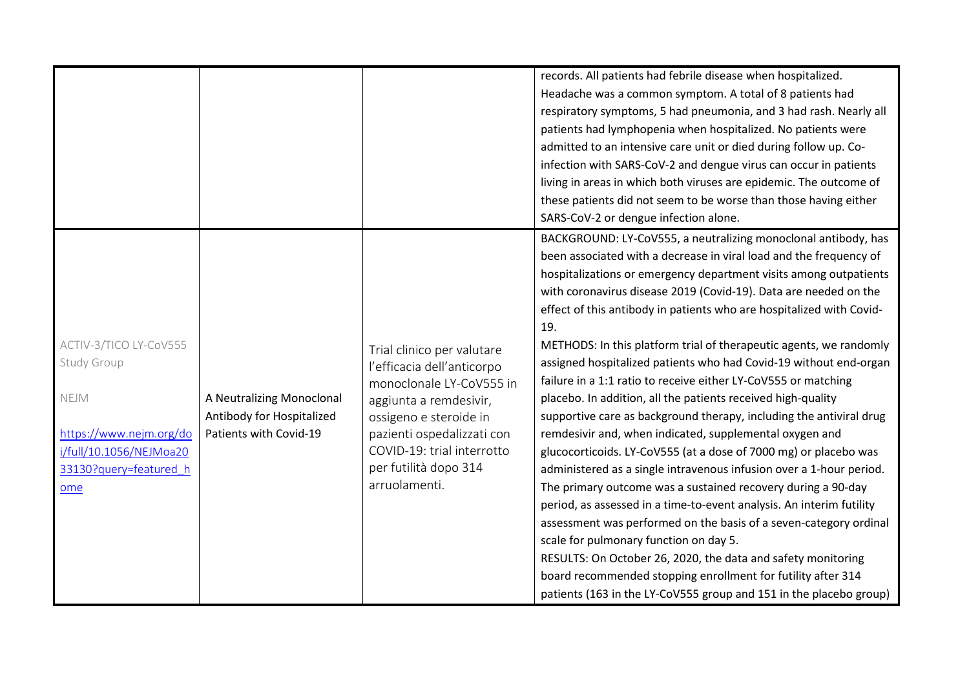|                                                                                                                                      |                                                                                  |                                                                                                                                                                                                                                                | records. All patients had febrile disease when hospitalized.<br>Headache was a common symptom. A total of 8 patients had<br>respiratory symptoms, 5 had pneumonia, and 3 had rash. Nearly all<br>patients had lymphopenia when hospitalized. No patients were<br>admitted to an intensive care unit or died during follow up. Co-<br>infection with SARS-CoV-2 and dengue virus can occur in patients<br>living in areas in which both viruses are epidemic. The outcome of<br>these patients did not seem to be worse than those having either<br>SARS-CoV-2 or dengue infection alone.                                                                                                                                                                                                                                                                                                                                                                                                                                                                                                                                                                                                                                                                                                                                                                                            |
|--------------------------------------------------------------------------------------------------------------------------------------|----------------------------------------------------------------------------------|------------------------------------------------------------------------------------------------------------------------------------------------------------------------------------------------------------------------------------------------|-------------------------------------------------------------------------------------------------------------------------------------------------------------------------------------------------------------------------------------------------------------------------------------------------------------------------------------------------------------------------------------------------------------------------------------------------------------------------------------------------------------------------------------------------------------------------------------------------------------------------------------------------------------------------------------------------------------------------------------------------------------------------------------------------------------------------------------------------------------------------------------------------------------------------------------------------------------------------------------------------------------------------------------------------------------------------------------------------------------------------------------------------------------------------------------------------------------------------------------------------------------------------------------------------------------------------------------------------------------------------------------|
| ACTIV-3/TICO LY-CoV555<br>Study Group<br>NEJM<br>https://www.nejm.org/do<br>i/full/10.1056/NEJMoa20<br>33130?query=featured h<br>ome | A Neutralizing Monoclonal<br>Antibody for Hospitalized<br>Patients with Covid-19 | Trial clinico per valutare<br>l'efficacia dell'anticorpo<br>monoclonale LY-CoV555 in<br>aggiunta a remdesivir,<br>ossigeno e steroide in<br>pazienti ospedalizzati con<br>COVID-19: trial interrotto<br>per futilità dopo 314<br>arruolamenti. | BACKGROUND: LY-CoV555, a neutralizing monoclonal antibody, has<br>been associated with a decrease in viral load and the frequency of<br>hospitalizations or emergency department visits among outpatients<br>with coronavirus disease 2019 (Covid-19). Data are needed on the<br>effect of this antibody in patients who are hospitalized with Covid-<br>19.<br>METHODS: In this platform trial of therapeutic agents, we randomly<br>assigned hospitalized patients who had Covid-19 without end-organ<br>failure in a 1:1 ratio to receive either LY-CoV555 or matching<br>placebo. In addition, all the patients received high-quality<br>supportive care as background therapy, including the antiviral drug<br>remdesivir and, when indicated, supplemental oxygen and<br>glucocorticoids. LY-CoV555 (at a dose of 7000 mg) or placebo was<br>administered as a single intravenous infusion over a 1-hour period.<br>The primary outcome was a sustained recovery during a 90-day<br>period, as assessed in a time-to-event analysis. An interim futility<br>assessment was performed on the basis of a seven-category ordinal<br>scale for pulmonary function on day 5.<br>RESULTS: On October 26, 2020, the data and safety monitoring<br>board recommended stopping enrollment for futility after 314<br>patients (163 in the LY-CoV555 group and 151 in the placebo group) |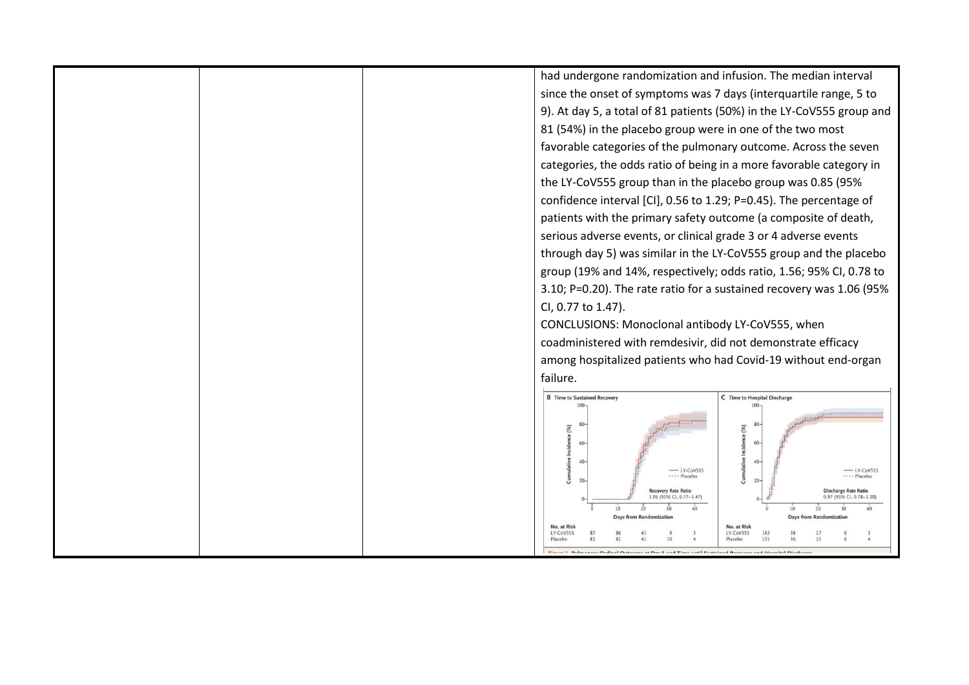|  | had undergone randomization and infusion. The median interval                                       |                                                  |
|--|-----------------------------------------------------------------------------------------------------|--------------------------------------------------|
|  | since the onset of symptoms was 7 days (interquartile range, 5 to                                   |                                                  |
|  | 9). At day 5, a total of 81 patients (50%) in the LY-CoV555 group and                               |                                                  |
|  | 81 (54%) in the placebo group were in one of the two most                                           |                                                  |
|  | favorable categories of the pulmonary outcome. Across the seven                                     |                                                  |
|  | categories, the odds ratio of being in a more favorable category in                                 |                                                  |
|  | the LY-CoV555 group than in the placebo group was 0.85 (95%                                         |                                                  |
|  | confidence interval [CI], 0.56 to 1.29; P=0.45). The percentage of                                  |                                                  |
|  | patients with the primary safety outcome (a composite of death,                                     |                                                  |
|  | serious adverse events, or clinical grade 3 or 4 adverse events                                     |                                                  |
|  | through day 5) was similar in the LY-CoV555 group and the placebo                                   |                                                  |
|  | group (19% and 14%, respectively; odds ratio, 1.56; 95% CI, 0.78 to                                 |                                                  |
|  | 3.10; P=0.20). The rate ratio for a sustained recovery was 1.06 (95%                                |                                                  |
|  | CI, 0.77 to 1.47).                                                                                  |                                                  |
|  | CONCLUSIONS: Monoclonal antibody LY-CoV555, when                                                    |                                                  |
|  | coadministered with remdesivir, did not demonstrate efficacy                                        |                                                  |
|  | among hospitalized patients who had Covid-19 without end-organ                                      |                                                  |
|  | failure.                                                                                            |                                                  |
|  | <b>B</b> Time to Sustained Recover<br>100                                                           | C Time to Hospital Discharge<br>$100 -$          |
|  | (%)                                                                                                 | псе (%)<br>60                                    |
|  | $\Delta$<br>-LY-CoVS55<br>Placebo<br>20                                                             | 40<br>$-$ LY-CoV555<br>Placebo<br>20             |
|  | Recovery Rate Ratio<br>1.06 (95% CI, 0.77-1.47)                                                     | Discharge Rate Ratio<br>0.97 (95% CI, 0.78-1.20) |
|  | 10<br>Days from                                                                                     | 10<br>Days from Randomization                    |
|  | No. at Risk<br>LY-CoV555<br>Placebo                                                                 | No. at Risk<br>LY-CoV555<br>151<br>13<br>Placebo |
|  | Ciavre J. Pulmonany Ordinal Outcome at Day E and Time until Suctained Receiver and Hermital Dischar |                                                  |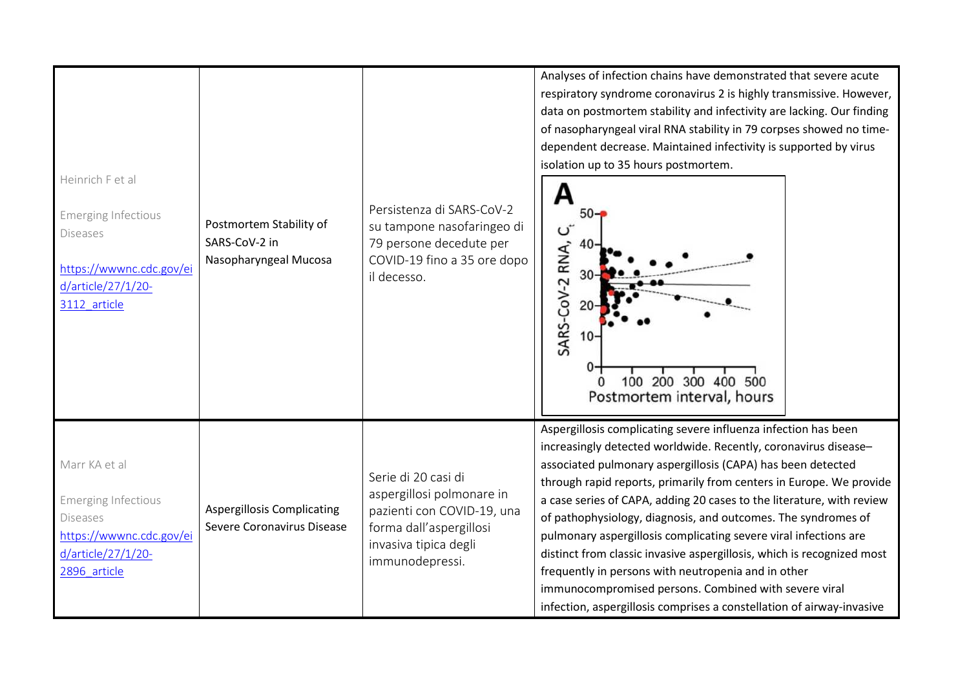| Heinrich F et al<br><b>Emerging Infectious</b><br><b>Diseases</b><br>https://wwwnc.cdc.gov/ei<br>d/article/27/1/20-<br>3112 article | Postmortem Stability of<br>SARS-CoV-2 in<br>Nasopharyngeal Mucosa | Persistenza di SARS-CoV-2<br>su tampone nasofaringeo di<br>79 persone decedute per<br>COVID-19 fino a 35 ore dopo<br>il decesso.                      | Analyses of infection chains have demonstrated that severe acute<br>respiratory syndrome coronavirus 2 is highly transmissive. However,<br>data on postmortem stability and infectivity are lacking. Our finding<br>of nasopharyngeal viral RNA stability in 79 corpses showed no time-<br>dependent decrease. Maintained infectivity is supported by virus<br>isolation up to 35 hours postmortem.<br>50-<br>RNA,<br>SARS-CoV-2<br>100 200 300 400 500<br>$\Omega$<br>Postmortem interval, hours                                                                                                                                                                                                                                                        |
|-------------------------------------------------------------------------------------------------------------------------------------|-------------------------------------------------------------------|-------------------------------------------------------------------------------------------------------------------------------------------------------|----------------------------------------------------------------------------------------------------------------------------------------------------------------------------------------------------------------------------------------------------------------------------------------------------------------------------------------------------------------------------------------------------------------------------------------------------------------------------------------------------------------------------------------------------------------------------------------------------------------------------------------------------------------------------------------------------------------------------------------------------------|
| Marr KA et al<br><b>Emerging Infectious</b><br><b>Diseases</b><br>https://wwwnc.cdc.gov/ei<br>d/article/27/1/20-<br>2896 article    | <b>Aspergillosis Complicating</b><br>Severe Coronavirus Disease   | Serie di 20 casi di<br>aspergillosi polmonare in<br>pazienti con COVID-19, una<br>forma dall'aspergillosi<br>invasiva tipica degli<br>immunodepressi. | Aspergillosis complicating severe influenza infection has been<br>increasingly detected worldwide. Recently, coronavirus disease-<br>associated pulmonary aspergillosis (CAPA) has been detected<br>through rapid reports, primarily from centers in Europe. We provide<br>a case series of CAPA, adding 20 cases to the literature, with review<br>of pathophysiology, diagnosis, and outcomes. The syndromes of<br>pulmonary aspergillosis complicating severe viral infections are<br>distinct from classic invasive aspergillosis, which is recognized most<br>frequently in persons with neutropenia and in other<br>immunocompromised persons. Combined with severe viral<br>infection, aspergillosis comprises a constellation of airway-invasive |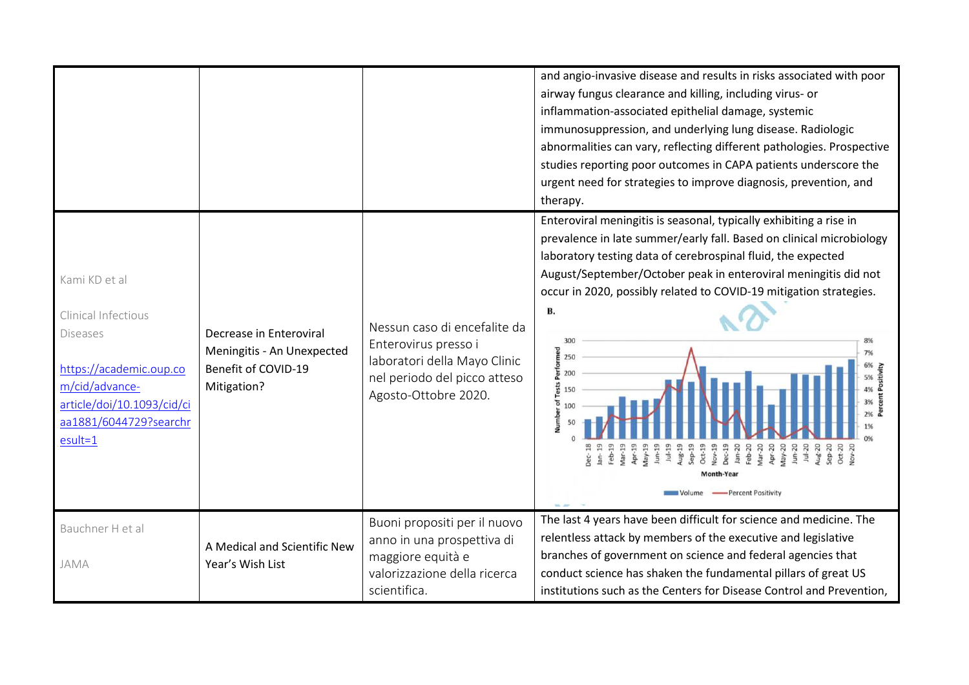|                                                                                                                                                                    |                                                                                             |                                                                                                                                              | and angio-invasive disease and results in risks associated with poor<br>airway fungus clearance and killing, including virus- or<br>inflammation-associated epithelial damage, systemic<br>immunosuppression, and underlying lung disease. Radiologic<br>abnormalities can vary, reflecting different pathologies. Prospective<br>studies reporting poor outcomes in CAPA patients underscore the<br>urgent need for strategies to improve diagnosis, prevention, and<br>therapy. |
|--------------------------------------------------------------------------------------------------------------------------------------------------------------------|---------------------------------------------------------------------------------------------|----------------------------------------------------------------------------------------------------------------------------------------------|-----------------------------------------------------------------------------------------------------------------------------------------------------------------------------------------------------------------------------------------------------------------------------------------------------------------------------------------------------------------------------------------------------------------------------------------------------------------------------------|
| Kami KD et al<br>Clinical Infectious<br>Diseases<br>https://academic.oup.co<br>m/cid/advance-<br>article/doi/10.1093/cid/ci<br>aa1881/6044729?searchr<br>$esult=1$ | Decrease in Enteroviral<br>Meningitis - An Unexpected<br>Benefit of COVID-19<br>Mitigation? | Nessun caso di encefalite da<br>Enterovirus presso i<br>laboratori della Mayo Clinic<br>nel periodo del picco atteso<br>Agosto-Ottobre 2020. | Enteroviral meningitis is seasonal, typically exhibiting a rise in<br>prevalence in late summer/early fall. Based on clinical microbiology<br>laboratory testing data of cerebrospinal fluid, the expected<br>August/September/October peak in enteroviral meningitis did not<br>occur in 2020, possibly related to COVID-19 mitigation strategies.<br><b>B.</b><br>300<br>Performed<br>250<br>200<br>Tests<br>150<br>ัธ<br>Feb-19<br>-Percent Positivity                         |
| Bauchner H et al<br>JAMA                                                                                                                                           | A Medical and Scientific New<br>Year's Wish List                                            | Buoni propositi per il nuovo<br>anno in una prospettiva di<br>maggiore equità e<br>valorizzazione della ricerca<br>scientifica.              | The last 4 years have been difficult for science and medicine. The<br>relentless attack by members of the executive and legislative<br>branches of government on science and federal agencies that<br>conduct science has shaken the fundamental pillars of great US<br>institutions such as the Centers for Disease Control and Prevention,                                                                                                                                      |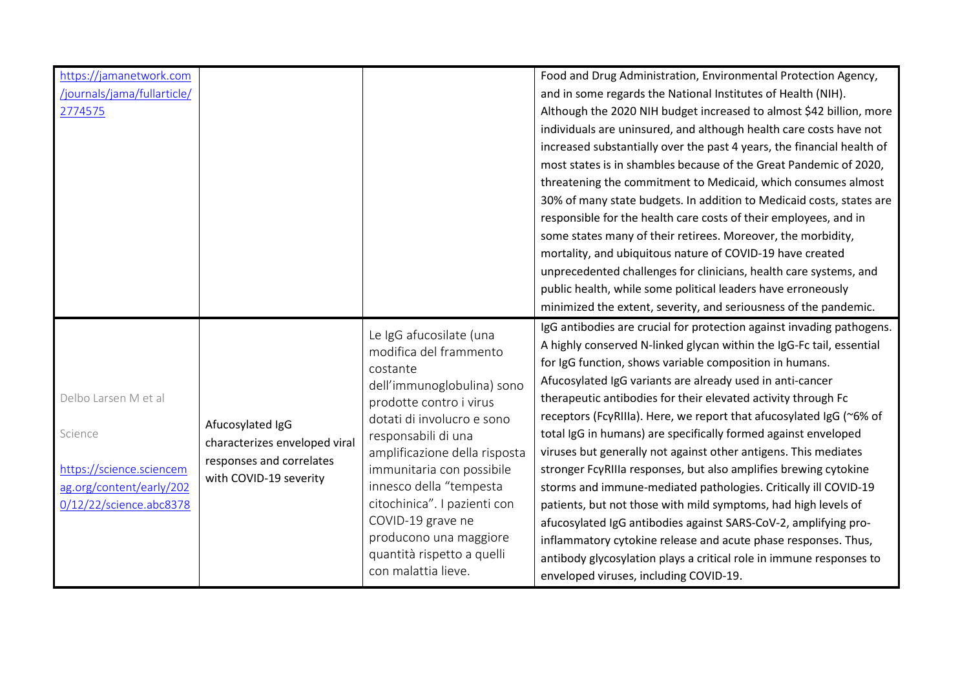| https://jamanetwork.com<br>/journals/jama/fullarticle/<br>2774575                                                  |                                                                                                         |                                                                                                                                                                                                                                                                                                                                                                                                          | Food and Drug Administration, Environmental Protection Agency,<br>and in some regards the National Institutes of Health (NIH).<br>Although the 2020 NIH budget increased to almost \$42 billion, more<br>individuals are uninsured, and although health care costs have not<br>increased substantially over the past 4 years, the financial health of<br>most states is in shambles because of the Great Pandemic of 2020,<br>threatening the commitment to Medicaid, which consumes almost<br>30% of many state budgets. In addition to Medicaid costs, states are<br>responsible for the health care costs of their employees, and in<br>some states many of their retirees. Moreover, the morbidity,<br>mortality, and ubiquitous nature of COVID-19 have created<br>unprecedented challenges for clinicians, health care systems, and<br>public health, while some political leaders have erroneously<br>minimized the extent, severity, and seriousness of the pandemic.                                     |
|--------------------------------------------------------------------------------------------------------------------|---------------------------------------------------------------------------------------------------------|----------------------------------------------------------------------------------------------------------------------------------------------------------------------------------------------------------------------------------------------------------------------------------------------------------------------------------------------------------------------------------------------------------|-------------------------------------------------------------------------------------------------------------------------------------------------------------------------------------------------------------------------------------------------------------------------------------------------------------------------------------------------------------------------------------------------------------------------------------------------------------------------------------------------------------------------------------------------------------------------------------------------------------------------------------------------------------------------------------------------------------------------------------------------------------------------------------------------------------------------------------------------------------------------------------------------------------------------------------------------------------------------------------------------------------------|
| Delbo Larsen M et al<br>Science<br>https://science.sciencem<br>ag.org/content/early/202<br>0/12/22/science.abc8378 | Afucosylated IgG<br>characterizes enveloped viral<br>responses and correlates<br>with COVID-19 severity | Le IgG afucosilate (una<br>modifica del frammento<br>costante<br>dell'immunoglobulina) sono<br>prodotte contro i virus<br>dotati di involucro e sono<br>responsabili di una<br>amplificazione della risposta<br>immunitaria con possibile<br>innesco della "tempesta<br>citochinica". I pazienti con<br>COVID-19 grave ne<br>producono una maggiore<br>quantità rispetto a quelli<br>con malattia lieve. | IgG antibodies are crucial for protection against invading pathogens.<br>A highly conserved N-linked glycan within the IgG-Fc tail, essential<br>for IgG function, shows variable composition in humans.<br>Afucosylated IgG variants are already used in anti-cancer<br>therapeutic antibodies for their elevated activity through Fc<br>receptors (FcγRIIIa). Here, we report that afucosylated IgG (~6% of<br>total IgG in humans) are specifically formed against enveloped<br>viruses but generally not against other antigens. This mediates<br>stronger FcyRIIIa responses, but also amplifies brewing cytokine<br>storms and immune-mediated pathologies. Critically ill COVID-19<br>patients, but not those with mild symptoms, had high levels of<br>afucosylated IgG antibodies against SARS-CoV-2, amplifying pro-<br>inflammatory cytokine release and acute phase responses. Thus,<br>antibody glycosylation plays a critical role in immune responses to<br>enveloped viruses, including COVID-19. |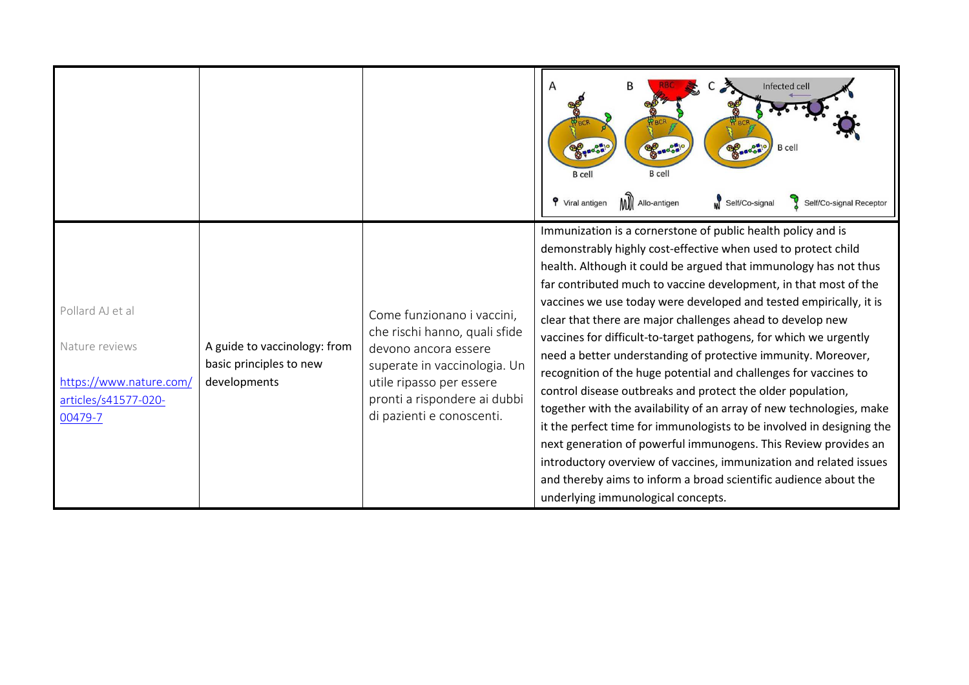|                                                                                                  |                                                                         |                                                                                                                                                                                                              | Infected cell<br><b>BAROON</b><br>BOSTON<br>Base<br><b>B</b> cell<br><b>B</b> cell<br><b>B</b> cell<br>MI Allo-antigen<br><b>9</b> Viral antigen<br>Self/Co-signal<br>Self/Co-signal Receptor                                                                                                                                                                                                                                                                                                                                                                                                                                                                                                                                                                                                                                                                                                                                                                                                                                                                                          |
|--------------------------------------------------------------------------------------------------|-------------------------------------------------------------------------|--------------------------------------------------------------------------------------------------------------------------------------------------------------------------------------------------------------|----------------------------------------------------------------------------------------------------------------------------------------------------------------------------------------------------------------------------------------------------------------------------------------------------------------------------------------------------------------------------------------------------------------------------------------------------------------------------------------------------------------------------------------------------------------------------------------------------------------------------------------------------------------------------------------------------------------------------------------------------------------------------------------------------------------------------------------------------------------------------------------------------------------------------------------------------------------------------------------------------------------------------------------------------------------------------------------|
| Pollard AJ et al<br>Nature reviews<br>https://www.nature.com/<br>articles/s41577-020-<br>00479-7 | A guide to vaccinology: from<br>basic principles to new<br>developments | Come funzionano i vaccini,<br>che rischi hanno, quali sfide<br>devono ancora essere<br>superate in vaccinologia. Un<br>utile ripasso per essere<br>pronti a rispondere ai dubbi<br>di pazienti e conoscenti. | Immunization is a cornerstone of public health policy and is<br>demonstrably highly cost-effective when used to protect child<br>health. Although it could be argued that immunology has not thus<br>far contributed much to vaccine development, in that most of the<br>vaccines we use today were developed and tested empirically, it is<br>clear that there are major challenges ahead to develop new<br>vaccines for difficult-to-target pathogens, for which we urgently<br>need a better understanding of protective immunity. Moreover,<br>recognition of the huge potential and challenges for vaccines to<br>control disease outbreaks and protect the older population,<br>together with the availability of an array of new technologies, make<br>it the perfect time for immunologists to be involved in designing the<br>next generation of powerful immunogens. This Review provides an<br>introductory overview of vaccines, immunization and related issues<br>and thereby aims to inform a broad scientific audience about the<br>underlying immunological concepts. |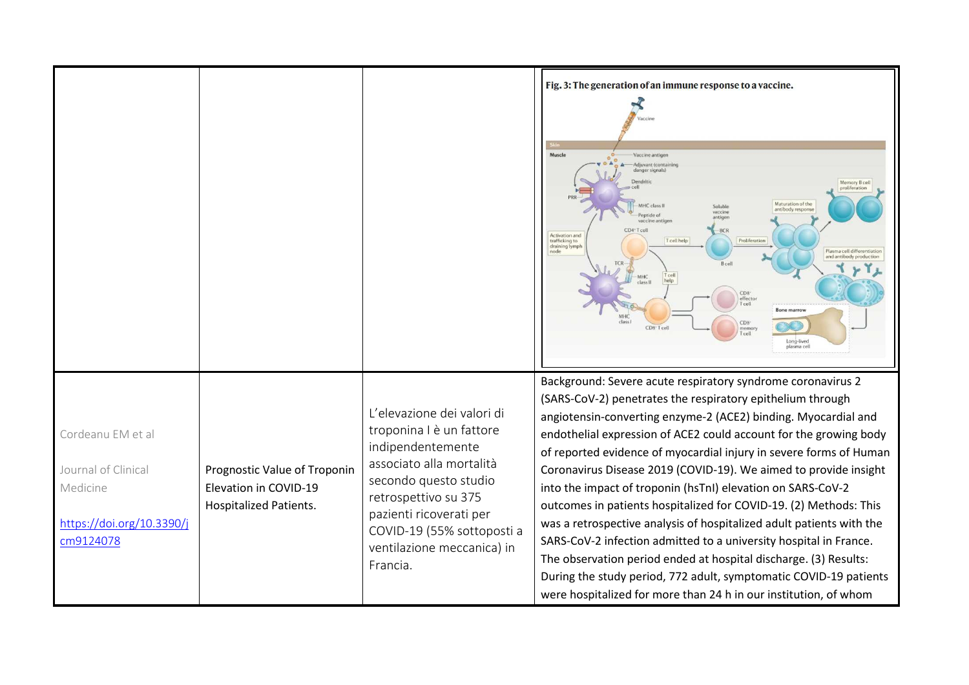|                                                                                                |                                                                                        |                                                                                                                                                                                                                                                             | Fig. 3: The generation of an immune response to a vaccine.<br>Muscle<br>Vaccine antige<br>Adjuvant (contai<br>danger signal<br>Memory B cell<br>proliferation<br>Maturation of the<br>MHC class I<br>Soluble<br>antibody respo<br>vaccine<br>Peptide of<br>antiger<br>vaccine antige<br>CD4 <sup>-</sup> Tcell<br><b>BCF</b><br>Activation and<br>trafficking to<br>T cell help<br>Proliferation<br>draining lymph<br>node<br>Plasma cell differentiation<br>and antibody production<br>B cell<br>T cell<br>help<br><b>MHC</b><br>class II<br>CD <sub>8</sub><br>effector<br><b>Bone marroy</b><br>class<br>CD8<br>CD8 <sup>-</sup> Tcell<br>memor<br>T cell<br>Long-lived<br>plasma cell                                                                                                                                                                                                                |
|------------------------------------------------------------------------------------------------|----------------------------------------------------------------------------------------|-------------------------------------------------------------------------------------------------------------------------------------------------------------------------------------------------------------------------------------------------------------|----------------------------------------------------------------------------------------------------------------------------------------------------------------------------------------------------------------------------------------------------------------------------------------------------------------------------------------------------------------------------------------------------------------------------------------------------------------------------------------------------------------------------------------------------------------------------------------------------------------------------------------------------------------------------------------------------------------------------------------------------------------------------------------------------------------------------------------------------------------------------------------------------------|
| Cordeanu EM et al<br>Journal of Clinical<br>Medicine<br>https://doi.org/10.3390/j<br>cm9124078 | Prognostic Value of Troponin<br>Elevation in COVID-19<br><b>Hospitalized Patients.</b> | L'elevazione dei valori di<br>troponina I è un fattore<br>indipendentemente<br>associato alla mortalità<br>secondo questo studio<br>retrospettivo su 375<br>pazienti ricoverati per<br>COVID-19 (55% sottoposti a<br>ventilazione meccanica) in<br>Francia. | Background: Severe acute respiratory syndrome coronavirus 2<br>(SARS-CoV-2) penetrates the respiratory epithelium through<br>angiotensin-converting enzyme-2 (ACE2) binding. Myocardial and<br>endothelial expression of ACE2 could account for the growing body<br>of reported evidence of myocardial injury in severe forms of Human<br>Coronavirus Disease 2019 (COVID-19). We aimed to provide insight<br>into the impact of troponin (hsTnI) elevation on SARS-CoV-2<br>outcomes in patients hospitalized for COVID-19. (2) Methods: This<br>was a retrospective analysis of hospitalized adult patients with the<br>SARS-CoV-2 infection admitted to a university hospital in France.<br>The observation period ended at hospital discharge. (3) Results:<br>During the study period, 772 adult, symptomatic COVID-19 patients<br>were hospitalized for more than 24 h in our institution, of whom |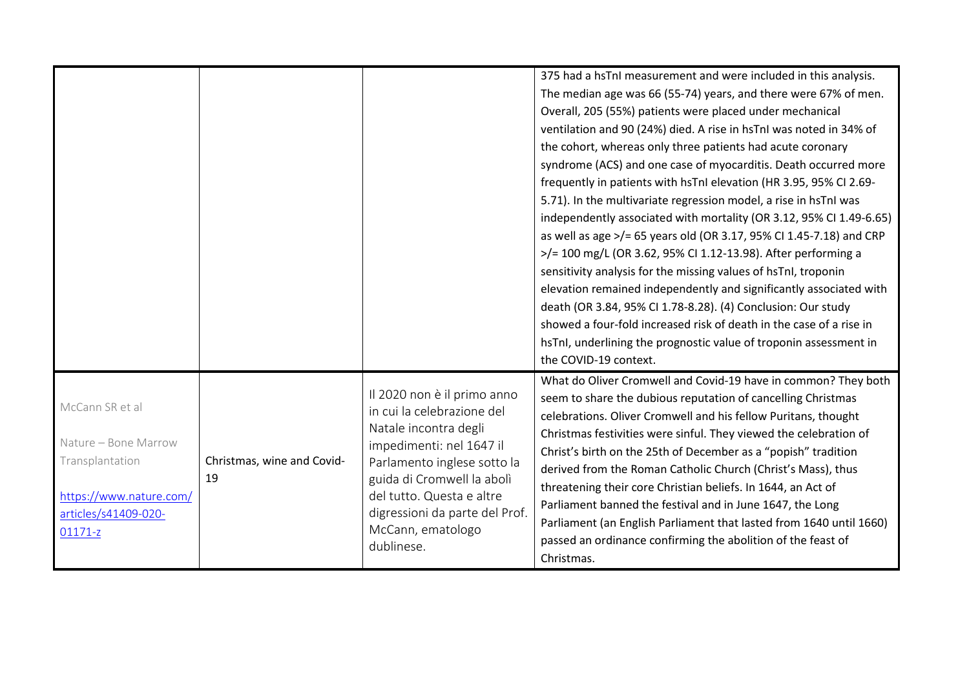|                                                                                                                          |                                  |                                                                                                                                                                                                                                                                               | 375 had a hsTnI measurement and were included in this analysis.<br>The median age was 66 (55-74) years, and there were 67% of men.<br>Overall, 205 (55%) patients were placed under mechanical<br>ventilation and 90 (24%) died. A rise in hsTnI was noted in 34% of<br>the cohort, whereas only three patients had acute coronary<br>syndrome (ACS) and one case of myocarditis. Death occurred more<br>frequently in patients with hsTnI elevation (HR 3.95, 95% CI 2.69-<br>5.71). In the multivariate regression model, a rise in hsTnI was<br>independently associated with mortality (OR 3.12, 95% CI 1.49-6.65)<br>as well as age >/= 65 years old (OR 3.17, 95% CI 1.45-7.18) and CRP<br>>/= 100 mg/L (OR 3.62, 95% CI 1.12-13.98). After performing a<br>sensitivity analysis for the missing values of hsTnI, troponin<br>elevation remained independently and significantly associated with<br>death (OR 3.84, 95% CI 1.78-8.28). (4) Conclusion: Our study<br>showed a four-fold increased risk of death in the case of a rise in<br>hsTnI, underlining the prognostic value of troponin assessment in<br>the COVID-19 context. |
|--------------------------------------------------------------------------------------------------------------------------|----------------------------------|-------------------------------------------------------------------------------------------------------------------------------------------------------------------------------------------------------------------------------------------------------------------------------|---------------------------------------------------------------------------------------------------------------------------------------------------------------------------------------------------------------------------------------------------------------------------------------------------------------------------------------------------------------------------------------------------------------------------------------------------------------------------------------------------------------------------------------------------------------------------------------------------------------------------------------------------------------------------------------------------------------------------------------------------------------------------------------------------------------------------------------------------------------------------------------------------------------------------------------------------------------------------------------------------------------------------------------------------------------------------------------------------------------------------------------------|
| McCann SR et al<br>Nature - Bone Marrow<br>Transplantation<br>https://www.nature.com/<br>articles/s41409-020-<br>01171-z | Christmas, wine and Covid-<br>19 | Il 2020 non è il primo anno<br>in cui la celebrazione del<br>Natale incontra degli<br>impedimenti: nel 1647 il<br>Parlamento inglese sotto la<br>guida di Cromwell la abolì<br>del tutto. Questa e altre<br>digressioni da parte del Prof.<br>McCann, ematologo<br>dublinese. | What do Oliver Cromwell and Covid-19 have in common? They both<br>seem to share the dubious reputation of cancelling Christmas<br>celebrations. Oliver Cromwell and his fellow Puritans, thought<br>Christmas festivities were sinful. They viewed the celebration of<br>Christ's birth on the 25th of December as a "popish" tradition<br>derived from the Roman Catholic Church (Christ's Mass), thus<br>threatening their core Christian beliefs. In 1644, an Act of<br>Parliament banned the festival and in June 1647, the Long<br>Parliament (an English Parliament that lasted from 1640 until 1660)<br>passed an ordinance confirming the abolition of the feast of<br>Christmas.                                                                                                                                                                                                                                                                                                                                                                                                                                                   |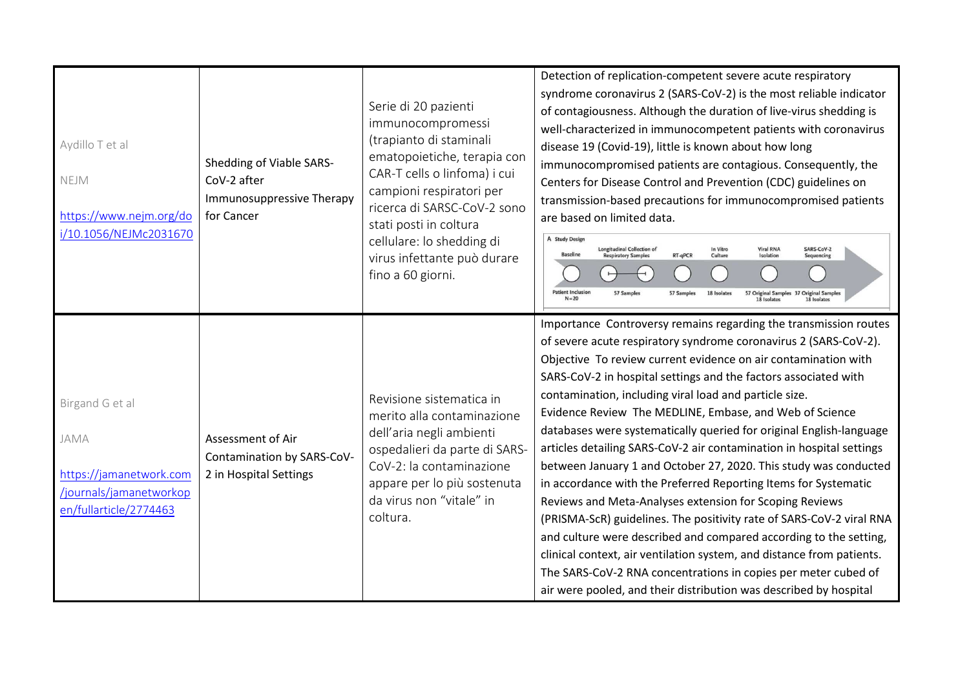| Aydillo T et al<br><b>NEJM</b><br>https://www.nejm.org/do<br>i/10.1056/NEJMc2031670                     | Shedding of Viable SARS-<br>CoV-2 after<br>Immunosuppressive Therapy<br>for Cancer | Serie di 20 pazienti<br>immunocompromessi<br>(trapianto di staminali<br>ematopoietiche, terapia con<br>CAR-T cells o linfoma) i cui<br>campioni respiratori per<br>ricerca di SARSC-CoV-2 sono<br>stati posti in coltura<br>cellulare: lo shedding di<br>virus infettante può durare<br>fino a 60 giorni. | Detection of replication-competent severe acute respiratory<br>syndrome coronavirus 2 (SARS-CoV-2) is the most reliable indicator<br>of contagiousness. Although the duration of live-virus shedding is<br>well-characterized in immunocompetent patients with coronavirus<br>disease 19 (Covid-19), little is known about how long<br>immunocompromised patients are contagious. Consequently, the<br>Centers for Disease Control and Prevention (CDC) guidelines on<br>transmission-based precautions for immunocompromised patients<br>are based on limited data.<br>A Study Design<br><b>Longitudinal Collection of</b><br><b>Viral RNA</b><br>SARS-CoV-2<br>In Vitro<br><b>Baseline</b><br><b>Respiratory Samples</b><br>RT-qPCR<br>Isolation<br>Cultur<br>Sequencing<br><b>Patient Inclusion</b><br>57 Samples<br>57 Samples<br>18 Isolates<br>57 Original Samples 37 Original Samples<br>$N=20$<br>18 Isolates<br>18 Isolate                                                                                                                                                                          |
|---------------------------------------------------------------------------------------------------------|------------------------------------------------------------------------------------|-----------------------------------------------------------------------------------------------------------------------------------------------------------------------------------------------------------------------------------------------------------------------------------------------------------|--------------------------------------------------------------------------------------------------------------------------------------------------------------------------------------------------------------------------------------------------------------------------------------------------------------------------------------------------------------------------------------------------------------------------------------------------------------------------------------------------------------------------------------------------------------------------------------------------------------------------------------------------------------------------------------------------------------------------------------------------------------------------------------------------------------------------------------------------------------------------------------------------------------------------------------------------------------------------------------------------------------------------------------------------------------------------------------------------------------|
| Birgand G et al<br>JAMA<br>https://jamanetwork.com<br>/journals/jamanetworkop<br>en/fullarticle/2774463 | Assessment of Air<br>Contamination by SARS-CoV-<br>2 in Hospital Settings          | Revisione sistematica in<br>merito alla contaminazione<br>dell'aria negli ambienti<br>ospedalieri da parte di SARS-<br>CoV-2: la contaminazione<br>appare per lo più sostenuta<br>da virus non "vitale" in<br>coltura.                                                                                    | Importance Controversy remains regarding the transmission routes<br>of severe acute respiratory syndrome coronavirus 2 (SARS-CoV-2).<br>Objective To review current evidence on air contamination with<br>SARS-CoV-2 in hospital settings and the factors associated with<br>contamination, including viral load and particle size.<br>Evidence Review The MEDLINE, Embase, and Web of Science<br>databases were systematically queried for original English-language<br>articles detailing SARS-CoV-2 air contamination in hospital settings<br>between January 1 and October 27, 2020. This study was conducted<br>in accordance with the Preferred Reporting Items for Systematic<br>Reviews and Meta-Analyses extension for Scoping Reviews<br>(PRISMA-ScR) guidelines. The positivity rate of SARS-CoV-2 viral RNA<br>and culture were described and compared according to the setting,<br>clinical context, air ventilation system, and distance from patients.<br>The SARS-CoV-2 RNA concentrations in copies per meter cubed of<br>air were pooled, and their distribution was described by hospital |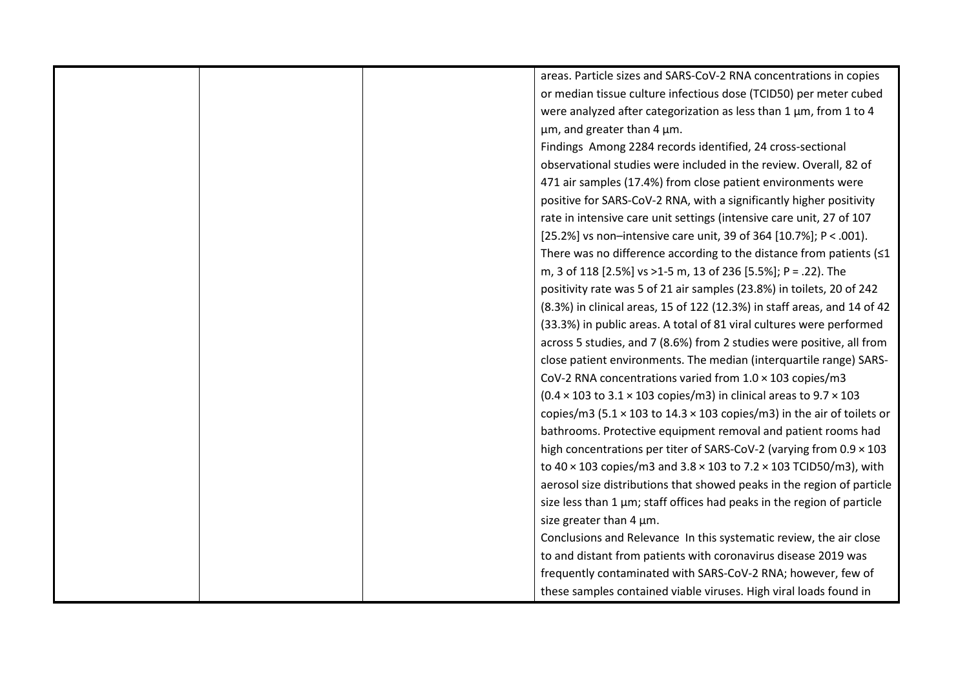|  | areas. Particle sizes and SARS-CoV-2 RNA concentrations in copies                      |
|--|----------------------------------------------------------------------------------------|
|  | or median tissue culture infectious dose (TCID50) per meter cubed                      |
|  | were analyzed after categorization as less than 1 µm, from 1 to 4                      |
|  | um, and greater than 4 um.                                                             |
|  | Findings Among 2284 records identified, 24 cross-sectional                             |
|  | observational studies were included in the review. Overall, 82 of                      |
|  | 471 air samples (17.4%) from close patient environments were                           |
|  | positive for SARS-CoV-2 RNA, with a significantly higher positivity                    |
|  | rate in intensive care unit settings (intensive care unit, 27 of 107                   |
|  | [25.2%] vs non-intensive care unit, 39 of 364 [10.7%]; P < .001).                      |
|  | There was no difference according to the distance from patients $(1$                   |
|  | m, 3 of 118 [2.5%] vs >1-5 m, 13 of 236 [5.5%]; P = .22). The                          |
|  | positivity rate was 5 of 21 air samples (23.8%) in toilets, 20 of 242                  |
|  | (8.3%) in clinical areas, 15 of 122 (12.3%) in staff areas, and 14 of 42               |
|  | (33.3%) in public areas. A total of 81 viral cultures were performed                   |
|  | across 5 studies, and 7 (8.6%) from 2 studies were positive, all from                  |
|  | close patient environments. The median (interquartile range) SARS-                     |
|  | CoV-2 RNA concentrations varied from 1.0 × 103 copies/m3                               |
|  | $(0.4 \times 103$ to $3.1 \times 103$ copies/m3) in clinical areas to 9.7 $\times$ 103 |
|  | copies/m3 (5.1 $\times$ 103 to 14.3 $\times$ 103 copies/m3) in the air of toilets or   |
|  | bathrooms. Protective equipment removal and patient rooms had                          |
|  | high concentrations per titer of SARS-CoV-2 (varying from $0.9 \times 103$             |
|  | to $40 \times 103$ copies/m3 and $3.8 \times 103$ to $7.2 \times 103$ TCID50/m3), with |
|  | aerosol size distributions that showed peaks in the region of particle                 |
|  | size less than 1 µm; staff offices had peaks in the region of particle                 |
|  | size greater than 4 µm.                                                                |
|  | Conclusions and Relevance In this systematic review, the air close                     |
|  | to and distant from patients with coronavirus disease 2019 was                         |
|  | frequently contaminated with SARS-CoV-2 RNA; however, few of                           |
|  | these samples contained viable viruses. High viral loads found in                      |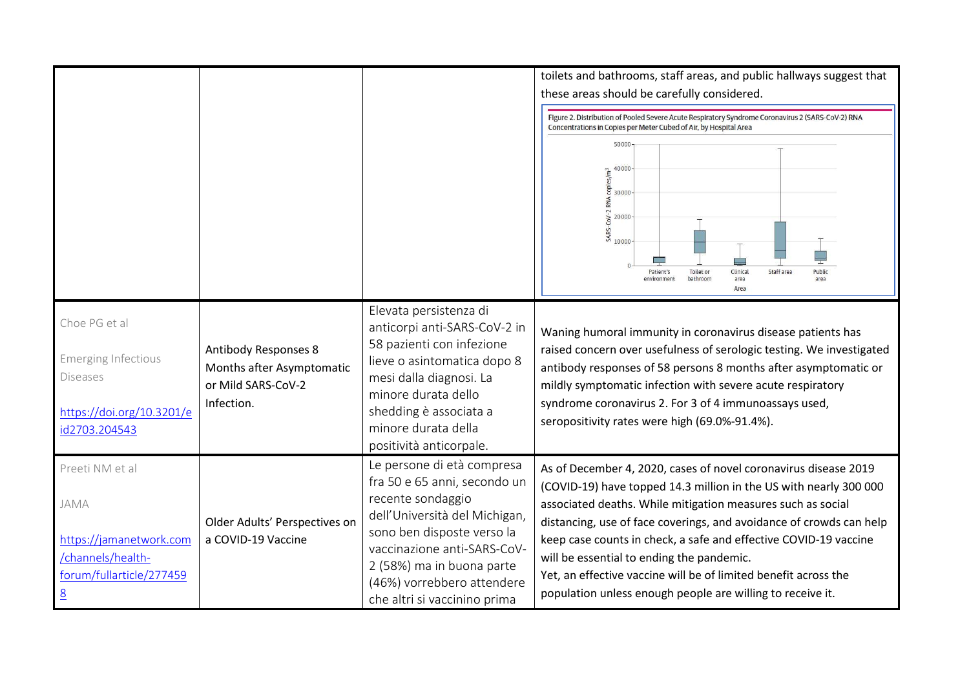|                                                                                                                        |                                                                                              |                                                                                                                                                                                                                                                                          | toilets and bathrooms, staff areas, and public hallways suggest that<br>these areas should be carefully considered.<br>Figure 2. Distribution of Pooled Severe Acute Respiratory Syndrome Coronavirus 2 (SARS-CoV-2) RNA<br>Concentrations in Copies per Meter Cubed of Air, by Hospital Area<br>50000<br>40000<br>$\frac{2}{30000}$<br>$\frac{40000}{30000}$<br>RNA<br>$\frac{2}{3}$<br>$\frac{20000}{10000}$<br>Clinical<br>Staff area<br>Patient's<br>Toilet or<br>Public<br>environment<br>bathroom<br>area<br>area<br>Area |
|------------------------------------------------------------------------------------------------------------------------|----------------------------------------------------------------------------------------------|--------------------------------------------------------------------------------------------------------------------------------------------------------------------------------------------------------------------------------------------------------------------------|---------------------------------------------------------------------------------------------------------------------------------------------------------------------------------------------------------------------------------------------------------------------------------------------------------------------------------------------------------------------------------------------------------------------------------------------------------------------------------------------------------------------------------|
| Choe PG et al<br><b>Emerging Infectious</b><br><b>Diseases</b><br>https://doi.org/10.3201/e<br>id2703.204543           | <b>Antibody Responses 8</b><br>Months after Asymptomatic<br>or Mild SARS-CoV-2<br>Infection. | Elevata persistenza di<br>anticorpi anti-SARS-CoV-2 in<br>58 pazienti con infezione<br>lieve o asintomatica dopo 8<br>mesi dalla diagnosi. La<br>minore durata dello<br>shedding è associata a<br>minore durata della<br>positività anticorpale.                         | Waning humoral immunity in coronavirus disease patients has<br>raised concern over usefulness of serologic testing. We investigated<br>antibody responses of 58 persons 8 months after asymptomatic or<br>mildly symptomatic infection with severe acute respiratory<br>syndrome coronavirus 2. For 3 of 4 immunoassays used,<br>seropositivity rates were high (69.0%-91.4%).                                                                                                                                                  |
| Preeti NM et al<br>JAMA<br>https://jamanetwork.com<br>/channels/health-<br>forum/fullarticle/277459<br>$\underline{8}$ | Older Adults' Perspectives on<br>a COVID-19 Vaccine                                          | Le persone di età compresa<br>fra 50 e 65 anni, secondo un<br>recente sondaggio<br>dell'Università del Michigan,<br>sono ben disposte verso la<br>vaccinazione anti-SARS-CoV-<br>2 (58%) ma in buona parte<br>(46%) vorrebbero attendere<br>che altri si vaccinino prima | As of December 4, 2020, cases of novel coronavirus disease 2019<br>(COVID-19) have topped 14.3 million in the US with nearly 300 000<br>associated deaths. While mitigation measures such as social<br>distancing, use of face coverings, and avoidance of crowds can help<br>keep case counts in check, a safe and effective COVID-19 vaccine<br>will be essential to ending the pandemic.<br>Yet, an effective vaccine will be of limited benefit across the<br>population unless enough people are willing to receive it.    |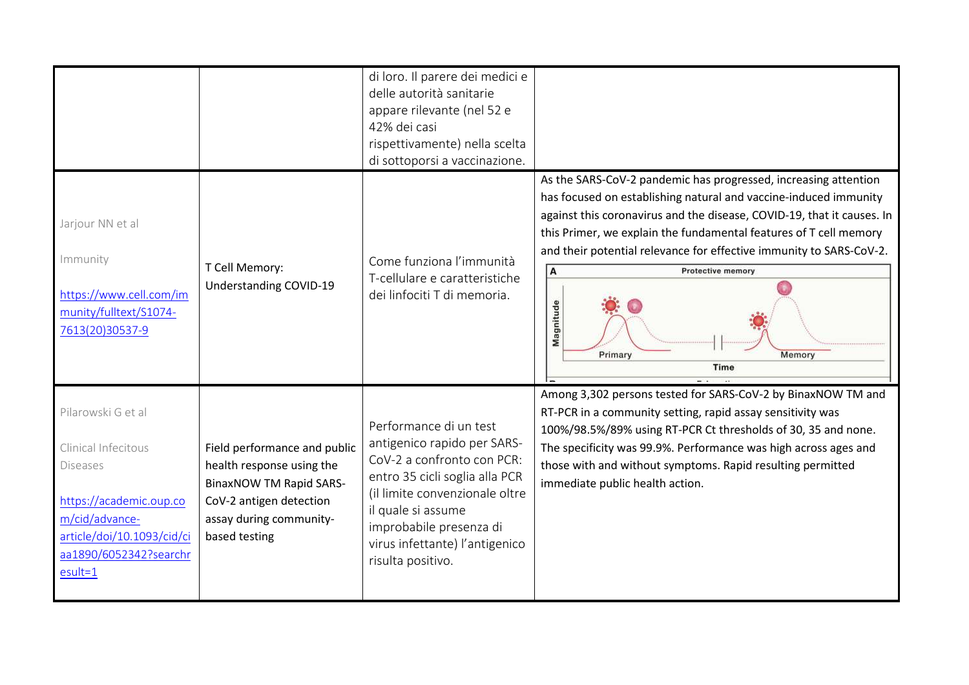|                                                                                                                                                                                |                                                                                                                                                                    | di loro. Il parere dei medici e<br>delle autorità sanitarie<br>appare rilevante (nel 52 e<br>42% dei casi<br>rispettivamente) nella scelta<br>di sottoporsi a vaccinazione.                                                                                     |                                                                                                                                                                                                                                                                                                                                                                                                                                      |
|--------------------------------------------------------------------------------------------------------------------------------------------------------------------------------|--------------------------------------------------------------------------------------------------------------------------------------------------------------------|-----------------------------------------------------------------------------------------------------------------------------------------------------------------------------------------------------------------------------------------------------------------|--------------------------------------------------------------------------------------------------------------------------------------------------------------------------------------------------------------------------------------------------------------------------------------------------------------------------------------------------------------------------------------------------------------------------------------|
| Jarjour NN et al<br>Immunity<br>https://www.cell.com/im<br>munity/fulltext/S1074-<br>7613(20)30537-9                                                                           | T Cell Memory:<br>Understanding COVID-19                                                                                                                           | Come funziona l'immunità<br>T-cellulare e caratteristiche<br>dei linfociti T di memoria.                                                                                                                                                                        | As the SARS-CoV-2 pandemic has progressed, increasing attention<br>has focused on establishing natural and vaccine-induced immunity<br>against this coronavirus and the disease, COVID-19, that it causes. In<br>this Primer, we explain the fundamental features of T cell memory<br>and their potential relevance for effective immunity to SARS-CoV-2.<br>A<br><b>Protective memory</b><br>Magnitude<br>Primary<br>Memory<br>Time |
| Pilarowski G et al<br>Clinical Infecitous<br><b>Diseases</b><br>https://academic.oup.co<br>m/cid/advance-<br>article/doi/10.1093/cid/ci<br>aa1890/6052342?searchr<br>$esult=1$ | Field performance and public<br>health response using the<br><b>BinaxNOW TM Rapid SARS-</b><br>CoV-2 antigen detection<br>assay during community-<br>based testing | Performance di un test<br>antigenico rapido per SARS-<br>CoV-2 a confronto con PCR:<br>entro 35 cicli soglia alla PCR<br>(il limite convenzionale oltre<br>il quale si assume<br>improbabile presenza di<br>virus infettante) l'antigenico<br>risulta positivo. | Among 3,302 persons tested for SARS-CoV-2 by BinaxNOW TM and<br>RT-PCR in a community setting, rapid assay sensitivity was<br>100%/98.5%/89% using RT-PCR Ct thresholds of 30, 35 and none.<br>The specificity was 99.9%. Performance was high across ages and<br>those with and without symptoms. Rapid resulting permitted<br>immediate public health action.                                                                      |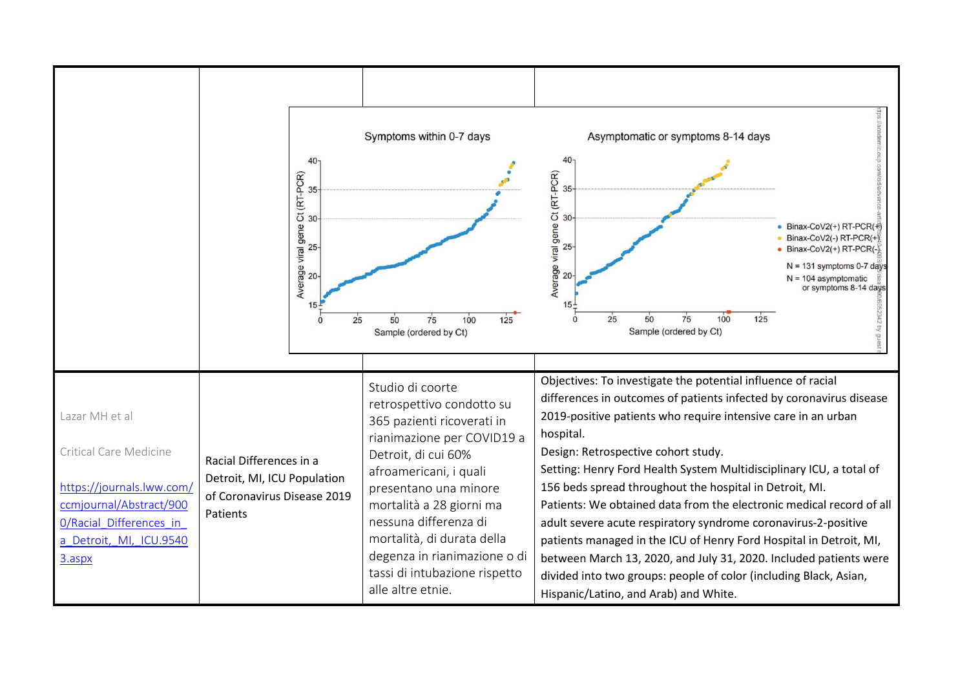|                                                                                                                                                                  | 40 <sup>°</sup><br>Average viral gene Ct (RT-PCR)<br>Po<br>Po<br>Po                               | Symptoms within 0-7 days<br>25<br>50<br>75<br>100<br>125<br>Sample (ordered by Ct)                                                                                                                                                                                                                                                                           | Asymptomatic or symptoms 8-14 days<br>40<br>Ct (RT-PCR)<br>30<br>9<br>Average viral gene<br>Binax-CoV2(+) RT-PCR(+)<br>Binax-CoV2(-) RT-PCR(+)<br>$25 -$<br>Binax-CoV2(+) RT-PCR(-)<br>$N = 131$ symptoms 0-7 days<br>20<br>$N = 104$ asymptomatic<br>or symptoms 8-14 days<br>75<br>100<br>25<br>50<br>125<br>Sample (ordered by Ct)                                                                                                                                                                                                                                                                                                                                                                                                                                                         |
|------------------------------------------------------------------------------------------------------------------------------------------------------------------|---------------------------------------------------------------------------------------------------|--------------------------------------------------------------------------------------------------------------------------------------------------------------------------------------------------------------------------------------------------------------------------------------------------------------------------------------------------------------|-----------------------------------------------------------------------------------------------------------------------------------------------------------------------------------------------------------------------------------------------------------------------------------------------------------------------------------------------------------------------------------------------------------------------------------------------------------------------------------------------------------------------------------------------------------------------------------------------------------------------------------------------------------------------------------------------------------------------------------------------------------------------------------------------|
| Lazar MH et al<br>Critical Care Medicine<br>https://journals.lww.com/<br>ccmjournal/Abstract/900<br>0/Racial Differences in<br>a_Detroit,_MI,_ICU.9540<br>3.aspx | Racial Differences in a<br>Detroit, MI, ICU Population<br>of Coronavirus Disease 2019<br>Patients | Studio di coorte<br>retrospettivo condotto su<br>365 pazienti ricoverati in<br>rianimazione per COVID19 a<br>Detroit, di cui 60%<br>afroamericani, i quali<br>presentano una minore<br>mortalità a 28 giorni ma<br>nessuna differenza di<br>mortalità, di durata della<br>degenza in rianimazione o di<br>tassi di intubazione rispetto<br>alle altre etnie. | Objectives: To investigate the potential influence of racial<br>differences in outcomes of patients infected by coronavirus disease<br>2019-positive patients who require intensive care in an urban<br>hospital.<br>Design: Retrospective cohort study.<br>Setting: Henry Ford Health System Multidisciplinary ICU, a total of<br>156 beds spread throughout the hospital in Detroit, MI.<br>Patients: We obtained data from the electronic medical record of all<br>adult severe acute respiratory syndrome coronavirus-2-positive<br>patients managed in the ICU of Henry Ford Hospital in Detroit, MI,<br>between March 13, 2020, and July 31, 2020. Included patients were<br>divided into two groups: people of color (including Black, Asian,<br>Hispanic/Latino, and Arab) and White. |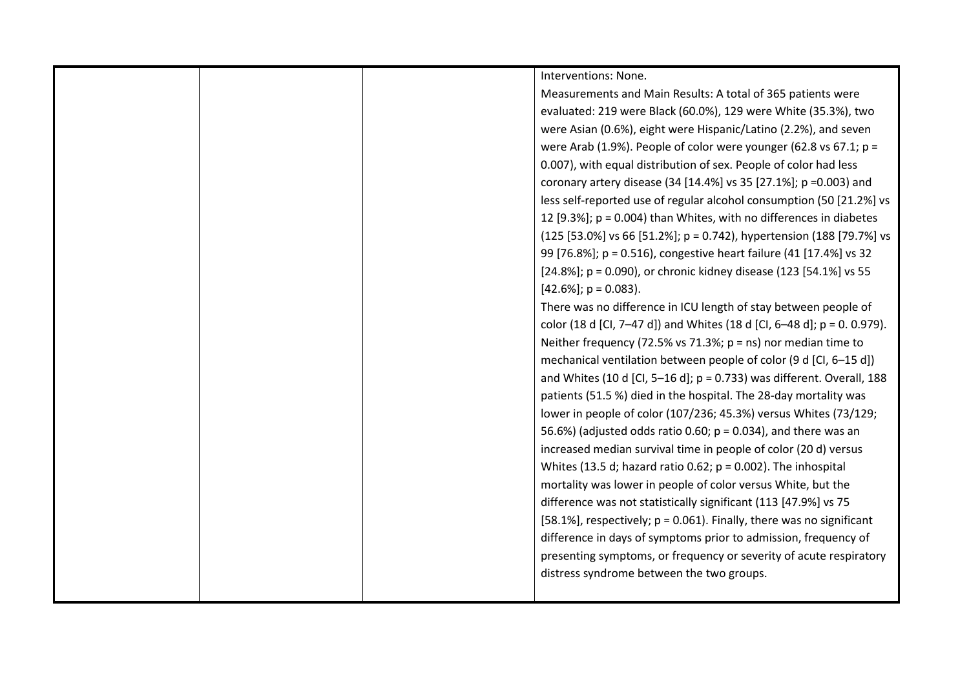| Interventions: None.                                                      |
|---------------------------------------------------------------------------|
| Measurements and Main Results: A total of 365 patients were               |
| evaluated: 219 were Black (60.0%), 129 were White (35.3%), two            |
| were Asian (0.6%), eight were Hispanic/Latino (2.2%), and seven           |
| were Arab (1.9%). People of color were younger (62.8 vs 67.1; $p =$       |
| 0.007), with equal distribution of sex. People of color had less          |
| coronary artery disease (34 [14.4%] vs 35 [27.1%]; p = 0.003) and         |
| less self-reported use of regular alcohol consumption (50 [21.2%] vs      |
| 12 [9.3%]; p = 0.004) than Whites, with no differences in diabetes        |
| (125 [53.0%] vs 66 [51.2%]; p = 0.742), hypertension (188 [79.7%] vs      |
| 99 [76.8%]; p = 0.516), congestive heart failure (41 [17.4%] vs 32        |
| [24.8%]; p = 0.090), or chronic kidney disease (123 [54.1%] vs 55         |
| $[42.6\%]$ ; p = 0.083).                                                  |
| There was no difference in ICU length of stay between people of           |
| color (18 d [Cl, 7-47 d]) and Whites (18 d [Cl, 6-48 d]; $p = 0.0.979$ ). |
| Neither frequency (72.5% vs 71.3%; $p = ns$ ) nor median time to          |
| mechanical ventilation between people of color (9 d [CI, 6-15 d])         |
| and Whites (10 d [Cl, 5-16 d]; $p = 0.733$ ) was different. Overall, 188  |
| patients (51.5 %) died in the hospital. The 28-day mortality was          |
| lower in people of color (107/236; 45.3%) versus Whites (73/129;          |
| 56.6%) (adjusted odds ratio 0.60; $p = 0.034$ ), and there was an         |
| increased median survival time in people of color (20 d) versus           |
| Whites (13.5 d; hazard ratio 0.62; $p = 0.002$ ). The inhospital          |
| mortality was lower in people of color versus White, but the              |
| difference was not statistically significant (113 [47.9%] vs 75           |
| [58.1%], respectively; $p = 0.061$ ). Finally, there was no significant   |
| difference in days of symptoms prior to admission, frequency of           |
| presenting symptoms, or frequency or severity of acute respiratory        |
| distress syndrome between the two groups.                                 |
|                                                                           |
|                                                                           |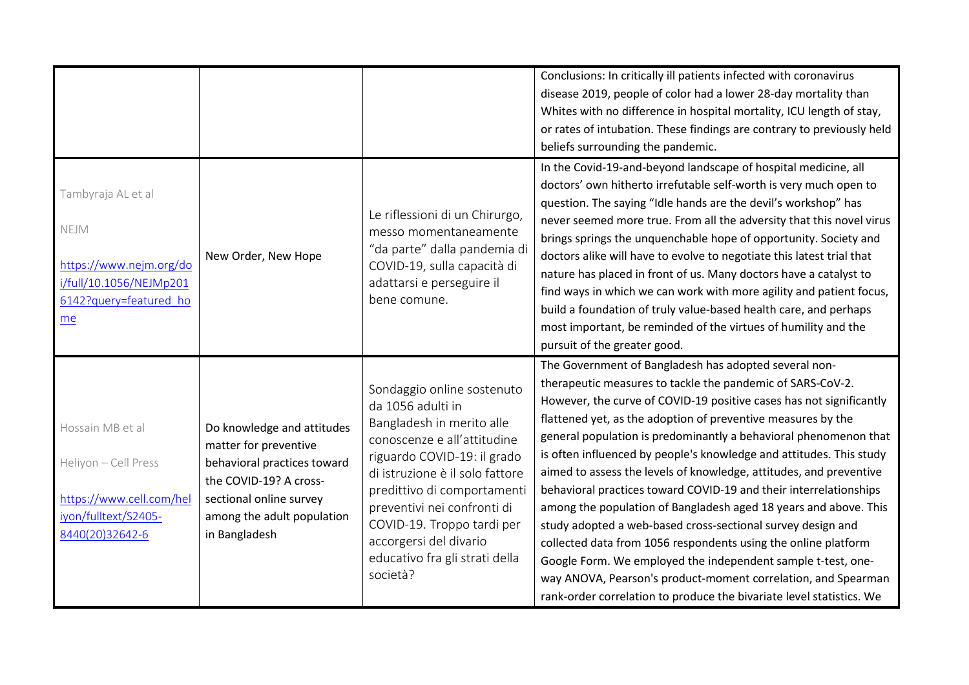|                                                                                                                  |                                                                                                                                                                                        |                                                                                                                                                                                                                                                                                                                                                   | Conclusions: In critically ill patients infected with coronavirus<br>disease 2019, people of color had a lower 28-day mortality than<br>Whites with no difference in hospital mortality, ICU length of stay,<br>or rates of intubation. These findings are contrary to previously held<br>beliefs surrounding the pandemic.                                                                                                                                                                                                                                                                                                                                                                                                                                                                                                                                                                                                                                    |
|------------------------------------------------------------------------------------------------------------------|----------------------------------------------------------------------------------------------------------------------------------------------------------------------------------------|---------------------------------------------------------------------------------------------------------------------------------------------------------------------------------------------------------------------------------------------------------------------------------------------------------------------------------------------------|----------------------------------------------------------------------------------------------------------------------------------------------------------------------------------------------------------------------------------------------------------------------------------------------------------------------------------------------------------------------------------------------------------------------------------------------------------------------------------------------------------------------------------------------------------------------------------------------------------------------------------------------------------------------------------------------------------------------------------------------------------------------------------------------------------------------------------------------------------------------------------------------------------------------------------------------------------------|
| Tambyraja AL et al<br>NEJM<br>https://www.nejm.org/do<br>i/full/10.1056/NEJMp201<br>6142?query=featured ho<br>me | New Order, New Hope                                                                                                                                                                    | Le riflessioni di un Chirurgo,<br>messo momentaneamente<br>"da parte" dalla pandemia di<br>COVID-19, sulla capacità di<br>adattarsi e perseguire il<br>bene comune.                                                                                                                                                                               | In the Covid-19-and-beyond landscape of hospital medicine, all<br>doctors' own hitherto irrefutable self-worth is very much open to<br>question. The saying "Idle hands are the devil's workshop" has<br>never seemed more true. From all the adversity that this novel virus<br>brings springs the unquenchable hope of opportunity. Society and<br>doctors alike will have to evolve to negotiate this latest trial that<br>nature has placed in front of us. Many doctors have a catalyst to<br>find ways in which we can work with more agility and patient focus,<br>build a foundation of truly value-based health care, and perhaps<br>most important, be reminded of the virtues of humility and the<br>pursuit of the greater good.                                                                                                                                                                                                                   |
| Hossain MB et al<br>Heliyon - Cell Press<br>https://www.cell.com/hel<br>iyon/fulltext/S2405-<br>8440(20)32642-6  | Do knowledge and attitudes<br>matter for preventive<br>behavioral practices toward<br>the COVID-19? A cross-<br>sectional online survey<br>among the adult population<br>in Bangladesh | Sondaggio online sostenuto<br>da 1056 adulti in<br>Bangladesh in merito alle<br>conoscenze e all'attitudine<br>riguardo COVID-19: il grado<br>di istruzione è il solo fattore<br>predittivo di comportamenti<br>preventivi nei confronti di<br>COVID-19. Troppo tardi per<br>accorgersi del divario<br>educativo fra gli strati della<br>società? | The Government of Bangladesh has adopted several non-<br>therapeutic measures to tackle the pandemic of SARS-CoV-2.<br>However, the curve of COVID-19 positive cases has not significantly<br>flattened yet, as the adoption of preventive measures by the<br>general population is predominantly a behavioral phenomenon that<br>is often influenced by people's knowledge and attitudes. This study<br>aimed to assess the levels of knowledge, attitudes, and preventive<br>behavioral practices toward COVID-19 and their interrelationships<br>among the population of Bangladesh aged 18 years and above. This<br>study adopted a web-based cross-sectional survey design and<br>collected data from 1056 respondents using the online platform<br>Google Form. We employed the independent sample t-test, one-<br>way ANOVA, Pearson's product-moment correlation, and Spearman<br>rank-order correlation to produce the bivariate level statistics. We |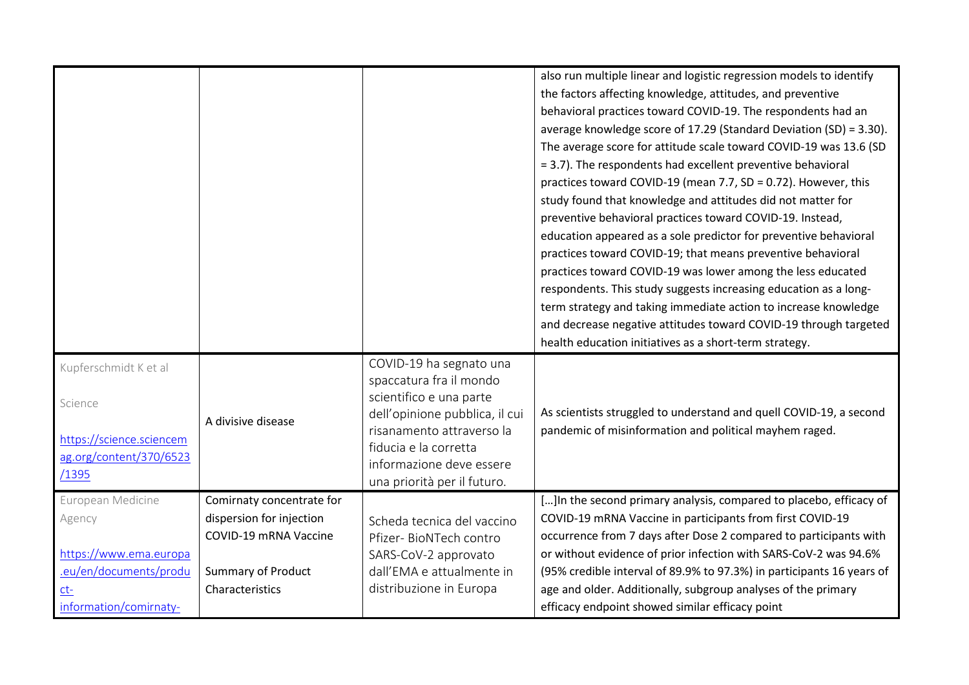|                          |                           |                                | also run multiple linear and logistic regression models to identify   |
|--------------------------|---------------------------|--------------------------------|-----------------------------------------------------------------------|
|                          |                           |                                | the factors affecting knowledge, attitudes, and preventive            |
|                          |                           |                                | behavioral practices toward COVID-19. The respondents had an          |
|                          |                           |                                | average knowledge score of 17.29 (Standard Deviation (SD) = 3.30).    |
|                          |                           |                                | The average score for attitude scale toward COVID-19 was 13.6 (SD     |
|                          |                           |                                | = 3.7). The respondents had excellent preventive behavioral           |
|                          |                           |                                | practices toward COVID-19 (mean 7.7, SD = 0.72). However, this        |
|                          |                           |                                | study found that knowledge and attitudes did not matter for           |
|                          |                           |                                | preventive behavioral practices toward COVID-19. Instead,             |
|                          |                           |                                | education appeared as a sole predictor for preventive behavioral      |
|                          |                           |                                | practices toward COVID-19; that means preventive behavioral           |
|                          |                           |                                | practices toward COVID-19 was lower among the less educated           |
|                          |                           |                                | respondents. This study suggests increasing education as a long-      |
|                          |                           |                                | term strategy and taking immediate action to increase knowledge       |
|                          |                           |                                | and decrease negative attitudes toward COVID-19 through targeted      |
|                          |                           |                                | health education initiatives as a short-term strategy.                |
| Kupferschmidt K et al    |                           | COVID-19 ha segnato una        |                                                                       |
|                          |                           | spaccatura fra il mondo        |                                                                       |
| Science                  |                           | scientifico e una parte        |                                                                       |
|                          | A divisive disease        | dell'opinione pubblica, il cui | As scientists struggled to understand and quell COVID-19, a second    |
| https://science.sciencem |                           | risanamento attraverso la      | pandemic of misinformation and political mayhem raged.                |
| ag.org/content/370/6523  |                           | fiducia e la corretta          |                                                                       |
| /1395                    |                           | informazione deve essere       |                                                                       |
|                          |                           | una priorità per il futuro.    |                                                                       |
| European Medicine        | Comirnaty concentrate for |                                | []In the second primary analysis, compared to placebo, efficacy of    |
| Agency                   | dispersion for injection  | Scheda tecnica del vaccino     | COVID-19 mRNA Vaccine in participants from first COVID-19             |
|                          | COVID-19 mRNA Vaccine     | Pfizer- BioNTech contro        | occurrence from 7 days after Dose 2 compared to participants with     |
| https://www.ema.europa   |                           | SARS-CoV-2 approvato           | or without evidence of prior infection with SARS-CoV-2 was 94.6%      |
| .eu/en/documents/produ   | <b>Summary of Product</b> | dall'EMA e attualmente in      | (95% credible interval of 89.9% to 97.3%) in participants 16 years of |
| $ct-$                    | Characteristics           | distribuzione in Europa        | age and older. Additionally, subgroup analyses of the primary         |
| information/comirnaty-   |                           |                                | efficacy endpoint showed similar efficacy point                       |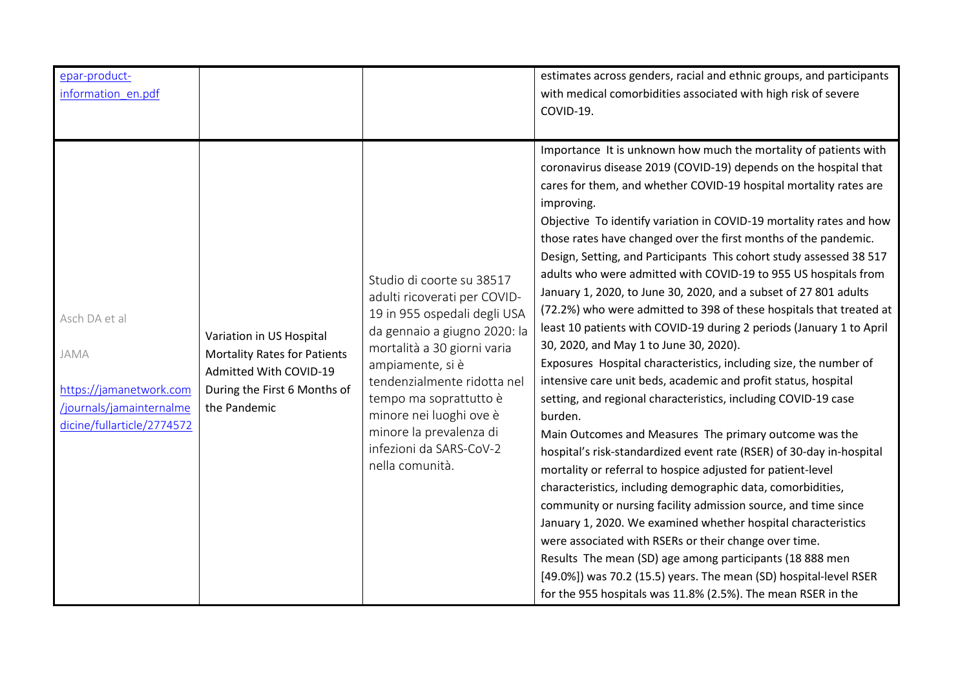| epar-product-<br>information_en.pdf                                                                        |                                                                                                                                           |                                                                                                                                                                                                                                                                                                                                           | estimates across genders, racial and ethnic groups, and participants<br>with medical comorbidities associated with high risk of severe<br>COVID-19.                                                                                                                                                                                                                                                                                                                                                                                                                                                                                                                                                                                                                                                                                                                                                                                                                                                                                                                                                                                                                                                                                                                                                                                                                                                                                                                                                                                                                                                                                                       |
|------------------------------------------------------------------------------------------------------------|-------------------------------------------------------------------------------------------------------------------------------------------|-------------------------------------------------------------------------------------------------------------------------------------------------------------------------------------------------------------------------------------------------------------------------------------------------------------------------------------------|-----------------------------------------------------------------------------------------------------------------------------------------------------------------------------------------------------------------------------------------------------------------------------------------------------------------------------------------------------------------------------------------------------------------------------------------------------------------------------------------------------------------------------------------------------------------------------------------------------------------------------------------------------------------------------------------------------------------------------------------------------------------------------------------------------------------------------------------------------------------------------------------------------------------------------------------------------------------------------------------------------------------------------------------------------------------------------------------------------------------------------------------------------------------------------------------------------------------------------------------------------------------------------------------------------------------------------------------------------------------------------------------------------------------------------------------------------------------------------------------------------------------------------------------------------------------------------------------------------------------------------------------------------------|
| Asch DA et al<br>JAMA<br>https://jamanetwork.com<br>/journals/jamainternalme<br>dicine/fullarticle/2774572 | Variation in US Hospital<br><b>Mortality Rates for Patients</b><br>Admitted With COVID-19<br>During the First 6 Months of<br>the Pandemic | Studio di coorte su 38517<br>adulti ricoverati per COVID-<br>19 in 955 ospedali degli USA<br>da gennaio a giugno 2020: la<br>mortalità a 30 giorni varia<br>ampiamente, si è<br>tendenzialmente ridotta nel<br>tempo ma soprattutto è<br>minore nei luoghi ove è<br>minore la prevalenza di<br>infezioni da SARS-CoV-2<br>nella comunità. | Importance It is unknown how much the mortality of patients with<br>coronavirus disease 2019 (COVID-19) depends on the hospital that<br>cares for them, and whether COVID-19 hospital mortality rates are<br>improving.<br>Objective To identify variation in COVID-19 mortality rates and how<br>those rates have changed over the first months of the pandemic.<br>Design, Setting, and Participants This cohort study assessed 38 517<br>adults who were admitted with COVID-19 to 955 US hospitals from<br>January 1, 2020, to June 30, 2020, and a subset of 27 801 adults<br>(72.2%) who were admitted to 398 of these hospitals that treated at<br>least 10 patients with COVID-19 during 2 periods (January 1 to April<br>30, 2020, and May 1 to June 30, 2020).<br>Exposures Hospital characteristics, including size, the number of<br>intensive care unit beds, academic and profit status, hospital<br>setting, and regional characteristics, including COVID-19 case<br>burden.<br>Main Outcomes and Measures The primary outcome was the<br>hospital's risk-standardized event rate (RSER) of 30-day in-hospital<br>mortality or referral to hospice adjusted for patient-level<br>characteristics, including demographic data, comorbidities,<br>community or nursing facility admission source, and time since<br>January 1, 2020. We examined whether hospital characteristics<br>were associated with RSERs or their change over time.<br>Results The mean (SD) age among participants (18 888 men<br>[49.0%]) was 70.2 (15.5) years. The mean (SD) hospital-level RSER<br>for the 955 hospitals was 11.8% (2.5%). The mean RSER in the |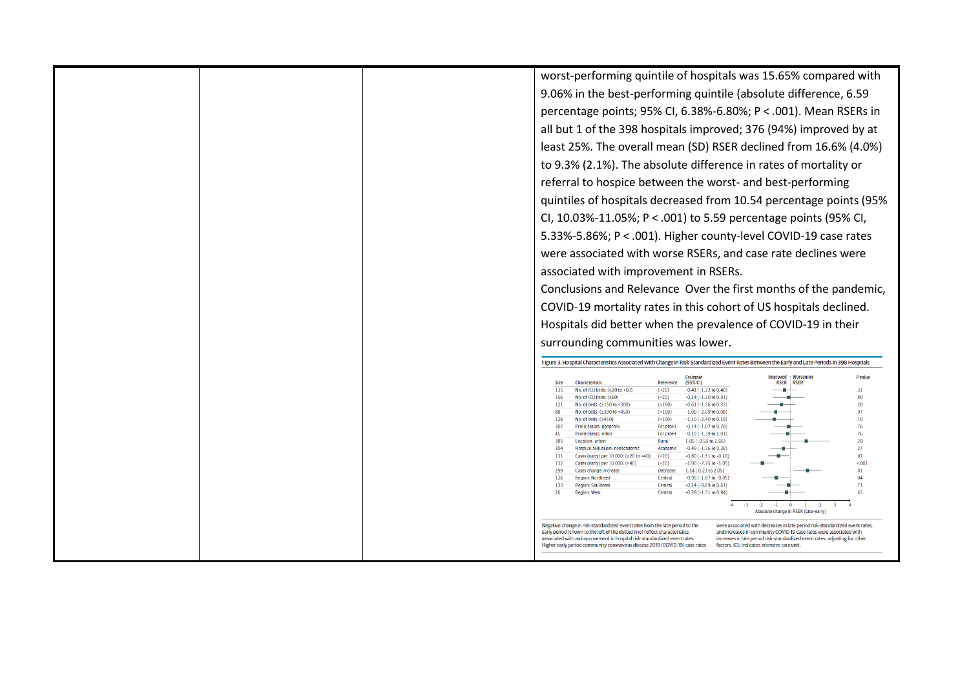worst-performing quintile of hospitals was 15.65% compared with 9.06% in the best-performing quintile (absolute difference, 6.59 percentage points; 95% CI, 6.38%-6.80%; P < .001). Mean RSERs in all but 1 of the 398 hospitals improved; 376 (94%) improved by at least 25%. The overall mean (SD) RSER declined from 16.6% (4.0%) to 9.3% (2.1%). The absolute difference in rates of mortality or referral to hospice between the worst- and best-performing quintiles of hospitals decreased from 10.54 percentage points (95% CI, 10.03%-11.05%; P < .001) to 5.59 percentage points (95% CI, 5.33%-5.86%; P < .001). Higher county-level COVID-19 case rates were associated with worse RSERs, and case rate declines were associated with improvement in RSERs. Conclusions and Relevance Over the first months of the pandemic, COVID-19 mortality rates in this cohort of US hospitals declined. Hospitals did better when the prevalence of COVID-19 in their surrounding communities was lower. Figure 3. Hospital Characteristics Associated With Change in Risk-Standardized Event Rates Between the Early and Late Periods in 398 Hospitals **Improved Worsening** P value Characteristic Reference (95% CI) **RSER** RSER Sizo  $135$ No. of ICII heds:  $(220 \text{ to } 60)$  $-0.41(-1.22 \text{ to } 0.40)$  $32<sub>o</sub>$  $(520)$ المستقولات 156 No. of ICU beds:  $(≥60)$  $(**20**)$  $-0.14(-1.20 \text{ to } 0.91)$  $.80$ 121 No. of beds: (≥150 to <300)  $(<150)$  $-0.61(-1.56 \text{ to } 0.33)$  $.20<sub>2</sub>$ 88 No. of beds: (≥300 to <450)  $($  < 150)  $-1.00$  (-2.09 to 0.08)  $.07$  $126$ No. of heds:  $( >450)$  $(5150)$  $-1.10(-2.40 + 0.19)$  $10<sup>1</sup>$  $307$ **Profit status: nonnrofit** For profit  $-0.14(1.07 + 0.07)$  $.76$  $AC$ Profit status: other For profit  $-0.19(-1.39)$  to  $1.01$  $76$ 385 Location: urban Rural  $1.05 (-0.55 \text{ to } 2.66)$  $.20<sub>1</sub>$  $304$ Hospital affiliation: nonacademic Academic  $-0.49$  ( $-1.36$  to 0.38)  $.27$ 111 Cases (early) per 10 000: (≥20 to <40) (<20)  $-0.80(-1.51 + 0.010)$  $\sim$ 132 Cases (early) per 10 000: (≥40)  $5001$  $(**20**)$  $-1.90$  ( $-2.75$  to  $-1.05$ ) Cases change: increase 299 Decrease  $1.14$  (0.23 to 2.05)  $.01$ Region: Northeast  $126$ Central  $-0.96(-1.87 + 0.05)$  $0<sub>4</sub>$ 133  $-0.14 (-0.89 \text{ to } 0.61)$  $.71$ Region: Southeast Central  $26$ Region: West Central  $-0.28(-1.51 + 0.94)$ فللمستنبط 65  $\sqrt{4}$  $-2$   $-1$  0  $\frac{1}{1}$   $\frac{1}{2}$  $\overline{A}$ Absolute change in RSER (late-early) Negative change in risk-standardized event rates from the late period to the were associated with decreases in late period risk-standardized event rates, early period (shown to the left of the dotted line) reflect characteristics and increases in community COVID-19 case rates were associated with associated with an improvement in hospital risk-standardized event rates. increases in late period risk-standardized event rates, adjusting for other Higher early period community coronavirus disease 2019 (COVID-19) case rates factors. ICU indicates intensive care unit.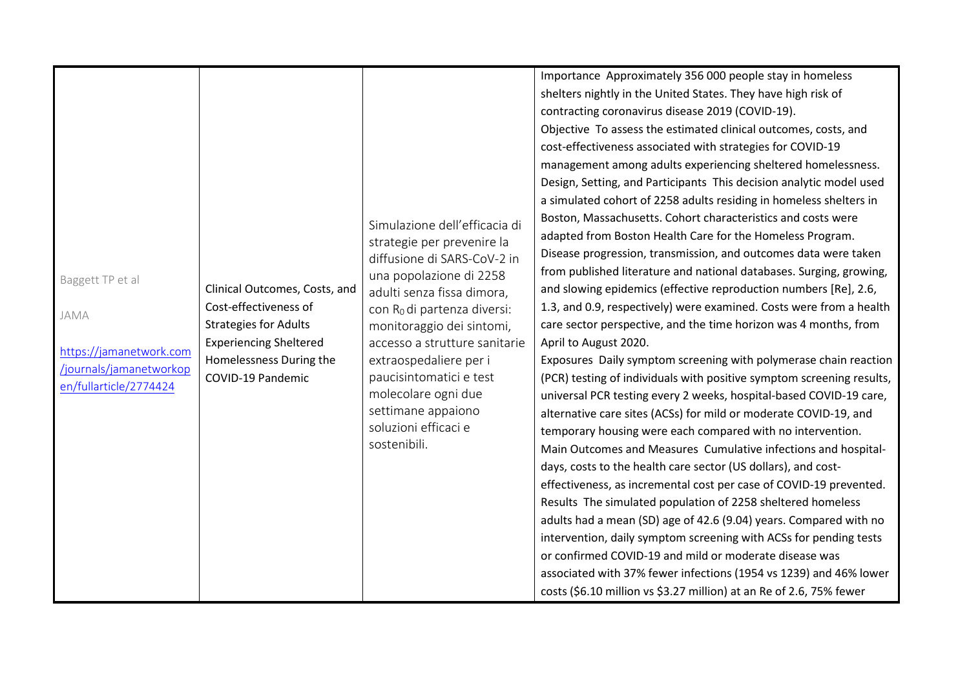|                                                                                                                 |                                                                                                                                                                         | Simulazione dell'efficacia di<br>strategie per prevenire la<br>diffusione di SARS-CoV-2 in                                                                                                                                                                                                               | Importance Approximately 356 000 people stay in homeless<br>shelters nightly in the United States. They have high risk of<br>contracting coronavirus disease 2019 (COVID-19).<br>Objective To assess the estimated clinical outcomes, costs, and<br>cost-effectiveness associated with strategies for COVID-19<br>management among adults experiencing sheltered homelessness.<br>Design, Setting, and Participants This decision analytic model used<br>a simulated cohort of 2258 adults residing in homeless shelters in<br>Boston, Massachusetts. Cohort characteristics and costs were<br>adapted from Boston Health Care for the Homeless Program.<br>Disease progression, transmission, and outcomes data were taken<br>from published literature and national databases. Surging, growing,                                                                                                                                                                                                                                                                                                                                                                                                                |
|-----------------------------------------------------------------------------------------------------------------|-------------------------------------------------------------------------------------------------------------------------------------------------------------------------|----------------------------------------------------------------------------------------------------------------------------------------------------------------------------------------------------------------------------------------------------------------------------------------------------------|-------------------------------------------------------------------------------------------------------------------------------------------------------------------------------------------------------------------------------------------------------------------------------------------------------------------------------------------------------------------------------------------------------------------------------------------------------------------------------------------------------------------------------------------------------------------------------------------------------------------------------------------------------------------------------------------------------------------------------------------------------------------------------------------------------------------------------------------------------------------------------------------------------------------------------------------------------------------------------------------------------------------------------------------------------------------------------------------------------------------------------------------------------------------------------------------------------------------|
| Baggett TP et al<br><b>JAMA</b><br>https://jamanetwork.com<br>/journals/jamanetworkop<br>en/fullarticle/2774424 | Clinical Outcomes, Costs, and<br>Cost-effectiveness of<br><b>Strategies for Adults</b><br><b>Experiencing Sheltered</b><br>Homelessness During the<br>COVID-19 Pandemic | una popolazione di 2258<br>adulti senza fissa dimora,<br>con R <sub>0</sub> di partenza diversi:<br>monitoraggio dei sintomi,<br>accesso a strutture sanitarie<br>extraospedaliere per i<br>paucisintomatici e test<br>molecolare ogni due<br>settimane appaiono<br>soluzioni efficaci e<br>sostenibili. | and slowing epidemics (effective reproduction numbers [Re], 2.6,<br>1.3, and 0.9, respectively) were examined. Costs were from a health<br>care sector perspective, and the time horizon was 4 months, from<br>April to August 2020.<br>Exposures Daily symptom screening with polymerase chain reaction<br>(PCR) testing of individuals with positive symptom screening results,<br>universal PCR testing every 2 weeks, hospital-based COVID-19 care,<br>alternative care sites (ACSs) for mild or moderate COVID-19, and<br>temporary housing were each compared with no intervention.<br>Main Outcomes and Measures Cumulative infections and hospital-<br>days, costs to the health care sector (US dollars), and cost-<br>effectiveness, as incremental cost per case of COVID-19 prevented.<br>Results The simulated population of 2258 sheltered homeless<br>adults had a mean (SD) age of 42.6 (9.04) years. Compared with no<br>intervention, daily symptom screening with ACSs for pending tests<br>or confirmed COVID-19 and mild or moderate disease was<br>associated with 37% fewer infections (1954 vs 1239) and 46% lower<br>costs (\$6.10 million vs \$3.27 million) at an Re of 2.6, 75% fewer |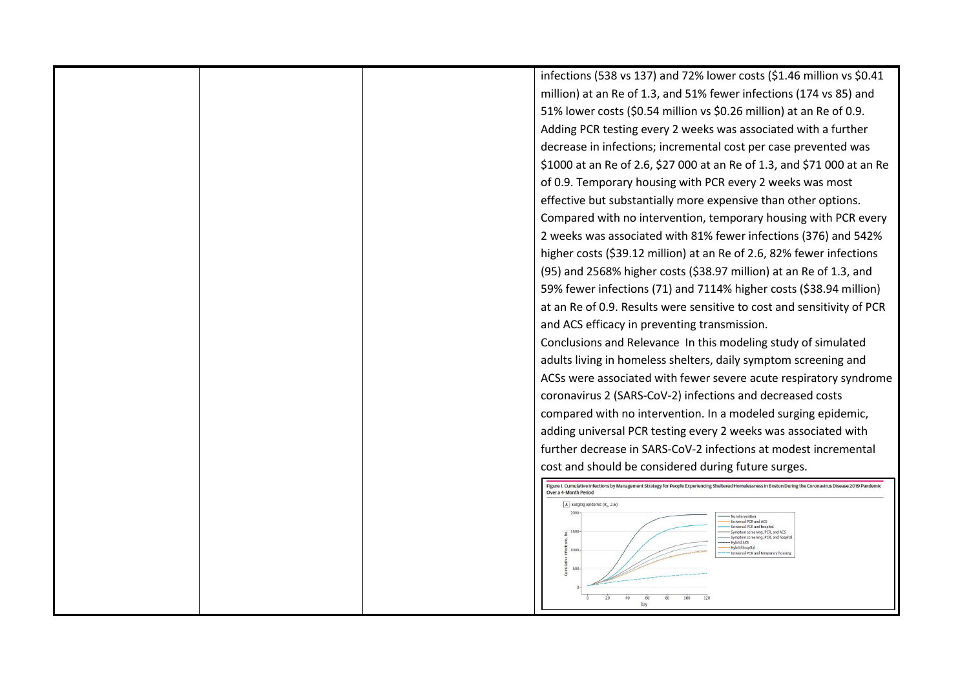|  | infections (538 vs 137) and 72% lower costs (\$1.46 million vs \$0.41                                                                                                                 |
|--|---------------------------------------------------------------------------------------------------------------------------------------------------------------------------------------|
|  | million) at an Re of 1.3, and 51% fewer infections (174 vs 85) and                                                                                                                    |
|  | 51% lower costs (\$0.54 million vs \$0.26 million) at an Re of 0.9.                                                                                                                   |
|  | Adding PCR testing every 2 weeks was associated with a further                                                                                                                        |
|  | decrease in infections; incremental cost per case prevented was                                                                                                                       |
|  | \$1000 at an Re of 2.6, \$27 000 at an Re of 1.3, and \$71 000 at an Re                                                                                                               |
|  | of 0.9. Temporary housing with PCR every 2 weeks was most                                                                                                                             |
|  | effective but substantially more expensive than other options.                                                                                                                        |
|  | Compared with no intervention, temporary housing with PCR every                                                                                                                       |
|  | 2 weeks was associated with 81% fewer infections (376) and 542%                                                                                                                       |
|  | higher costs (\$39.12 million) at an Re of 2.6, 82% fewer infections                                                                                                                  |
|  | (95) and 2568% higher costs (\$38.97 million) at an Re of 1.3, and                                                                                                                    |
|  | 59% fewer infections (71) and 7114% higher costs (\$38.94 million)                                                                                                                    |
|  | at an Re of 0.9. Results were sensitive to cost and sensitivity of PCR                                                                                                                |
|  | and ACS efficacy in preventing transmission.                                                                                                                                          |
|  | Conclusions and Relevance In this modeling study of simulated                                                                                                                         |
|  | adults living in homeless shelters, daily symptom screening and                                                                                                                       |
|  | ACSs were associated with fewer severe acute respiratory syndrome                                                                                                                     |
|  | coronavirus 2 (SARS-CoV-2) infections and decreased costs                                                                                                                             |
|  | compared with no intervention. In a modeled surging epidemic,                                                                                                                         |
|  | adding universal PCR testing every 2 weeks was associated with                                                                                                                        |
|  | further decrease in SARS-CoV-2 infections at modest incremental                                                                                                                       |
|  | cost and should be considered during future surges.                                                                                                                                   |
|  | Figure 1. Cumulative Infections by Management Strategy for People Experiencing Sheltered Homelessness in Boston During the Coronavirus Disease 2019 Pandemic<br>Over a 4-Month Period |
|  | $\boxed{A}$ Surging epidemic (R <sub>e</sub> , 2.6)                                                                                                                                   |
|  | - No intervention<br>Universal PCR and ACS<br>iversal PCR and hospital                                                                                                                |
|  | Symptom screening, PCR, and ACS<br>Symptom screening, PCR, and hospita<br>--- Hybrid ACS                                                                                              |
|  | Hybrid bosnita<br>1000<br>Universal PCR and temporary housing                                                                                                                         |
|  | 500                                                                                                                                                                                   |
|  | 100<br>60                                                                                                                                                                             |
|  |                                                                                                                                                                                       |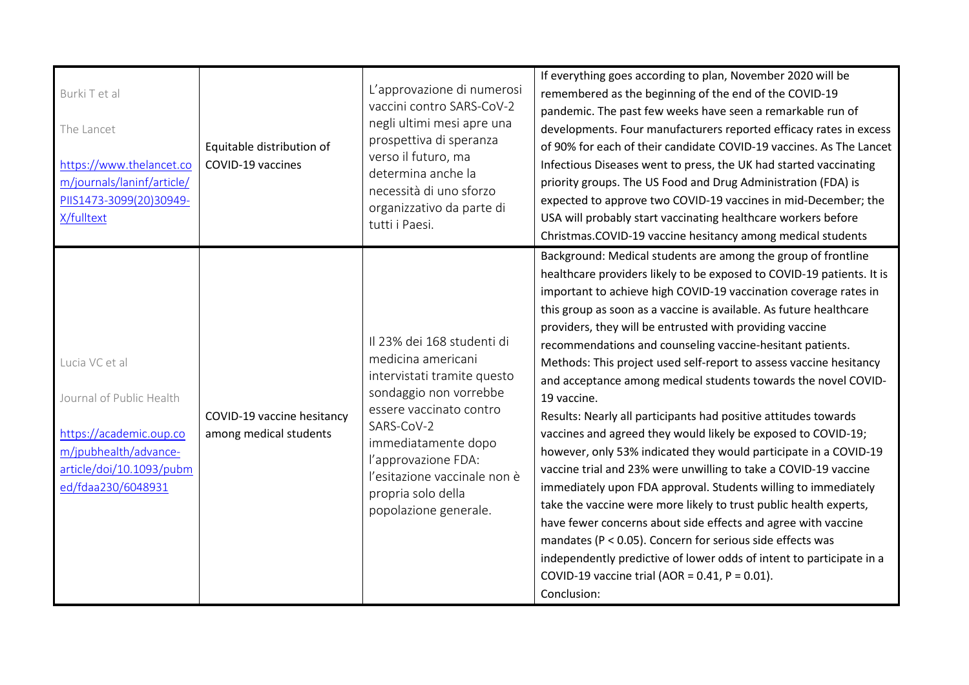| Burki T et al<br>The Lancet<br>https://www.thelancet.co<br>m/journals/laninf/article/<br>PIIS1473-3099(20)30949-<br>X/fulltext                   | Equitable distribution of<br>COVID-19 vaccines       | L'approvazione di numerosi<br>vaccini contro SARS-CoV-2<br>negli ultimi mesi apre una<br>prospettiva di speranza<br>verso il futuro, ma<br>determina anche la<br>necessità di uno sforzo<br>organizzativo da parte di<br>tutti i Paesi.                                         | If everything goes according to plan, November 2020 will be<br>remembered as the beginning of the end of the COVID-19<br>pandemic. The past few weeks have seen a remarkable run of<br>developments. Four manufacturers reported efficacy rates in excess<br>of 90% for each of their candidate COVID-19 vaccines. As The Lancet<br>Infectious Diseases went to press, the UK had started vaccinating<br>priority groups. The US Food and Drug Administration (FDA) is<br>expected to approve two COVID-19 vaccines in mid-December; the<br>USA will probably start vaccinating healthcare workers before<br>Christmas.COVID-19 vaccine hesitancy among medical students                                                                                                                                                                                                                                                                                                                                                                                                                                                                                                                                                                                            |
|--------------------------------------------------------------------------------------------------------------------------------------------------|------------------------------------------------------|---------------------------------------------------------------------------------------------------------------------------------------------------------------------------------------------------------------------------------------------------------------------------------|---------------------------------------------------------------------------------------------------------------------------------------------------------------------------------------------------------------------------------------------------------------------------------------------------------------------------------------------------------------------------------------------------------------------------------------------------------------------------------------------------------------------------------------------------------------------------------------------------------------------------------------------------------------------------------------------------------------------------------------------------------------------------------------------------------------------------------------------------------------------------------------------------------------------------------------------------------------------------------------------------------------------------------------------------------------------------------------------------------------------------------------------------------------------------------------------------------------------------------------------------------------------|
| Lucia VC et al<br>Journal of Public Health<br>https://academic.oup.co<br>m/jpubhealth/advance-<br>article/doi/10.1093/pubm<br>ed/fdaa230/6048931 | COVID-19 vaccine hesitancy<br>among medical students | Il 23% dei 168 studenti di<br>medicina americani<br>intervistati tramite questo<br>sondaggio non vorrebbe<br>essere vaccinato contro<br>SARS-CoV-2<br>immediatamente dopo<br>l'approvazione FDA:<br>l'esitazione vaccinale non è<br>propria solo della<br>popolazione generale. | Background: Medical students are among the group of frontline<br>healthcare providers likely to be exposed to COVID-19 patients. It is<br>important to achieve high COVID-19 vaccination coverage rates in<br>this group as soon as a vaccine is available. As future healthcare<br>providers, they will be entrusted with providing vaccine<br>recommendations and counseling vaccine-hesitant patients.<br>Methods: This project used self-report to assess vaccine hesitancy<br>and acceptance among medical students towards the novel COVID-<br>19 vaccine.<br>Results: Nearly all participants had positive attitudes towards<br>vaccines and agreed they would likely be exposed to COVID-19;<br>however, only 53% indicated they would participate in a COVID-19<br>vaccine trial and 23% were unwilling to take a COVID-19 vaccine<br>immediately upon FDA approval. Students willing to immediately<br>take the vaccine were more likely to trust public health experts,<br>have fewer concerns about side effects and agree with vaccine<br>mandates ( $P < 0.05$ ). Concern for serious side effects was<br>independently predictive of lower odds of intent to participate in a<br>COVID-19 vaccine trial (AOR = $0.41$ , P = $0.01$ ).<br>Conclusion: |